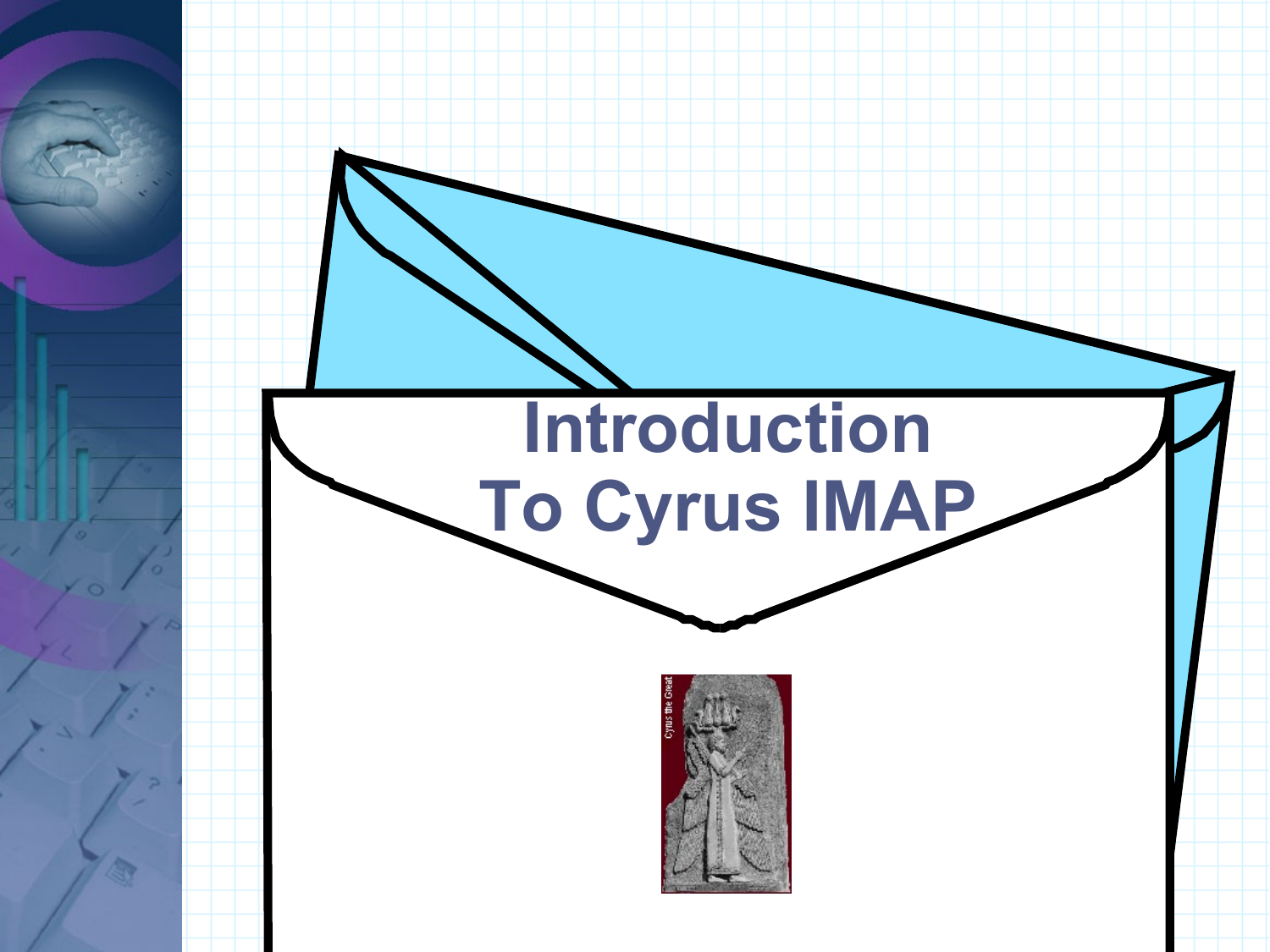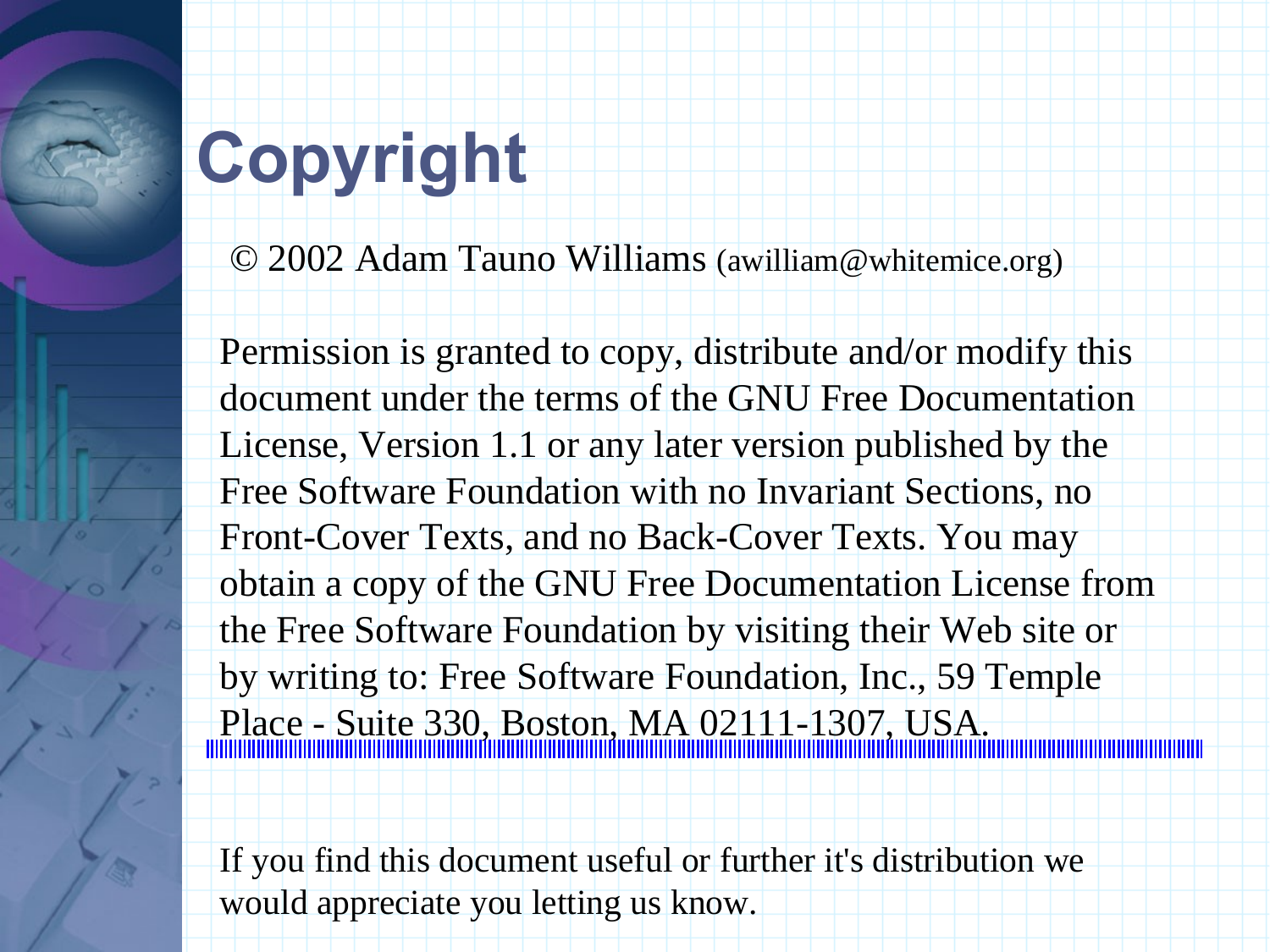# **Copyright**

© 2002 Adam Tauno Williams (awilliam@whitemice.org)

Permission is granted to copy, distribute and/or modify this document under the terms of the GNU Free Documentation License, Version 1.1 or any later version published by the Free Software Foundation with no Invariant Sections, no Front-Cover Texts, and no Back-Cover Texts. You may obtain a copy of the GNU Free Documentation License from the Free Software Foundation by visiting their Web site or by writing to: Free Software Foundation, Inc., 59 Temple Place - Suite 330, Boston, MA 02111-1307, USA.

If you find this document useful or further it's distribution we would appreciate you letting us know.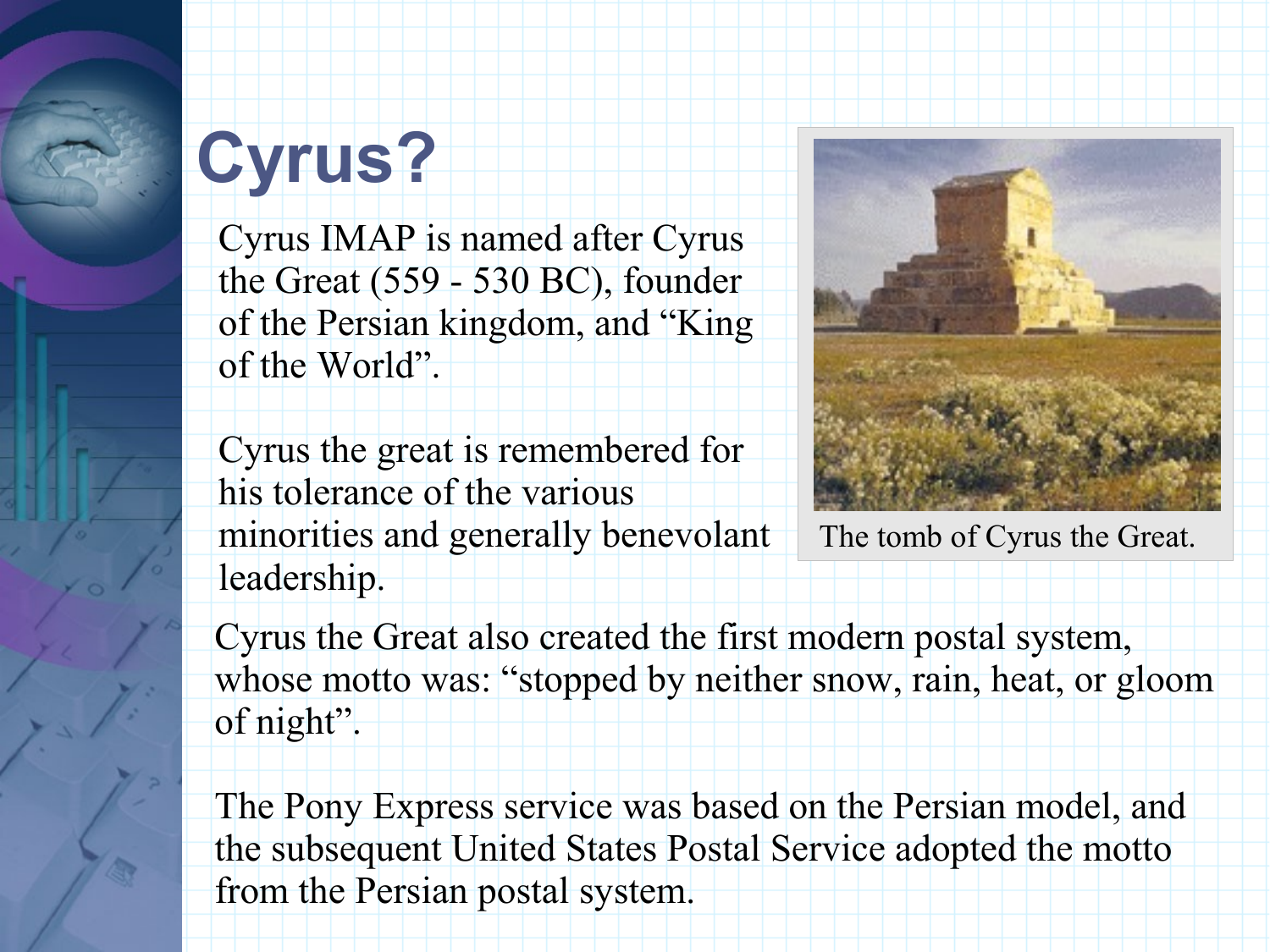# **Cyrus?**

Cyrus IMAP is named after Cyrus the Great (559 - 530 BC), founder of the Persian kingdom, and "King of the World".

Cyrus the great is remembered for his tolerance of the various minorities and generally benevolant leadership.



The tomb of Cyrus the Great.

Cyrus the Great also created the first modern postal system, whose motto was: "stopped by neither snow, rain, heat, or gloom of night".

The Pony Express service was based on the Persian model, and the subsequent United States Postal Service adopted the motto from the Persian postal system.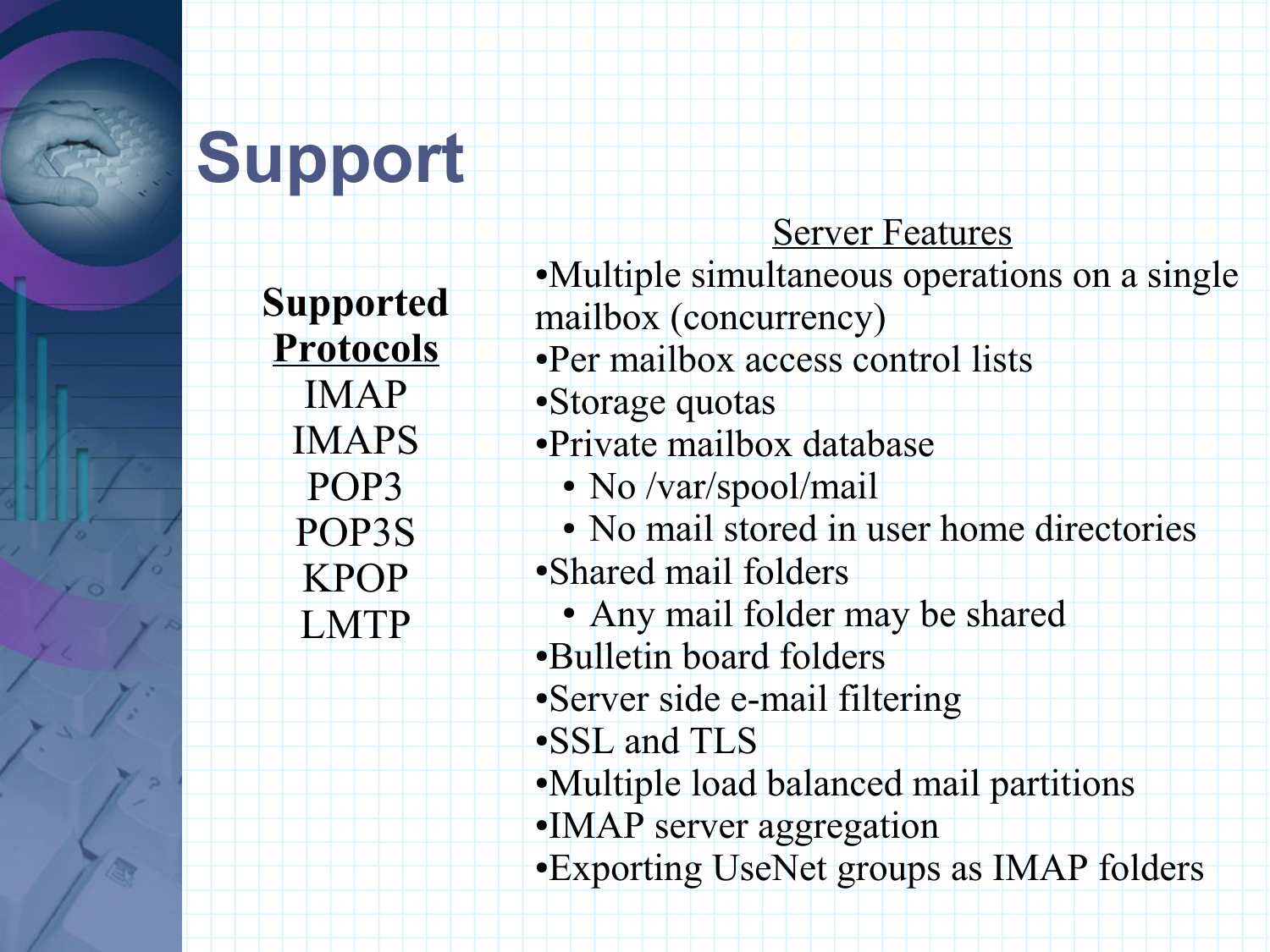# **Support**

**Supported Protocols** IMAP IMAPS POP3 POP3S KPOP LMTP

#### Server Features

- ●Multiple simultaneous operations on a single mailbox (concurrency)
- ●Per mailbox access control lists
- ●Storage quotas
- ●Private mailbox database
	- No /var/spool/mail
- No mail stored in user home directories ●Shared mail folders
- Any mail folder may be shared
- ●Bulletin board folders
- ●Server side e-mail filtering
- ●SSL and TLS
- ●Multiple load balanced mail partitions
- ●IMAP server aggregation
- ●Exporting UseNet groups as IMAP folders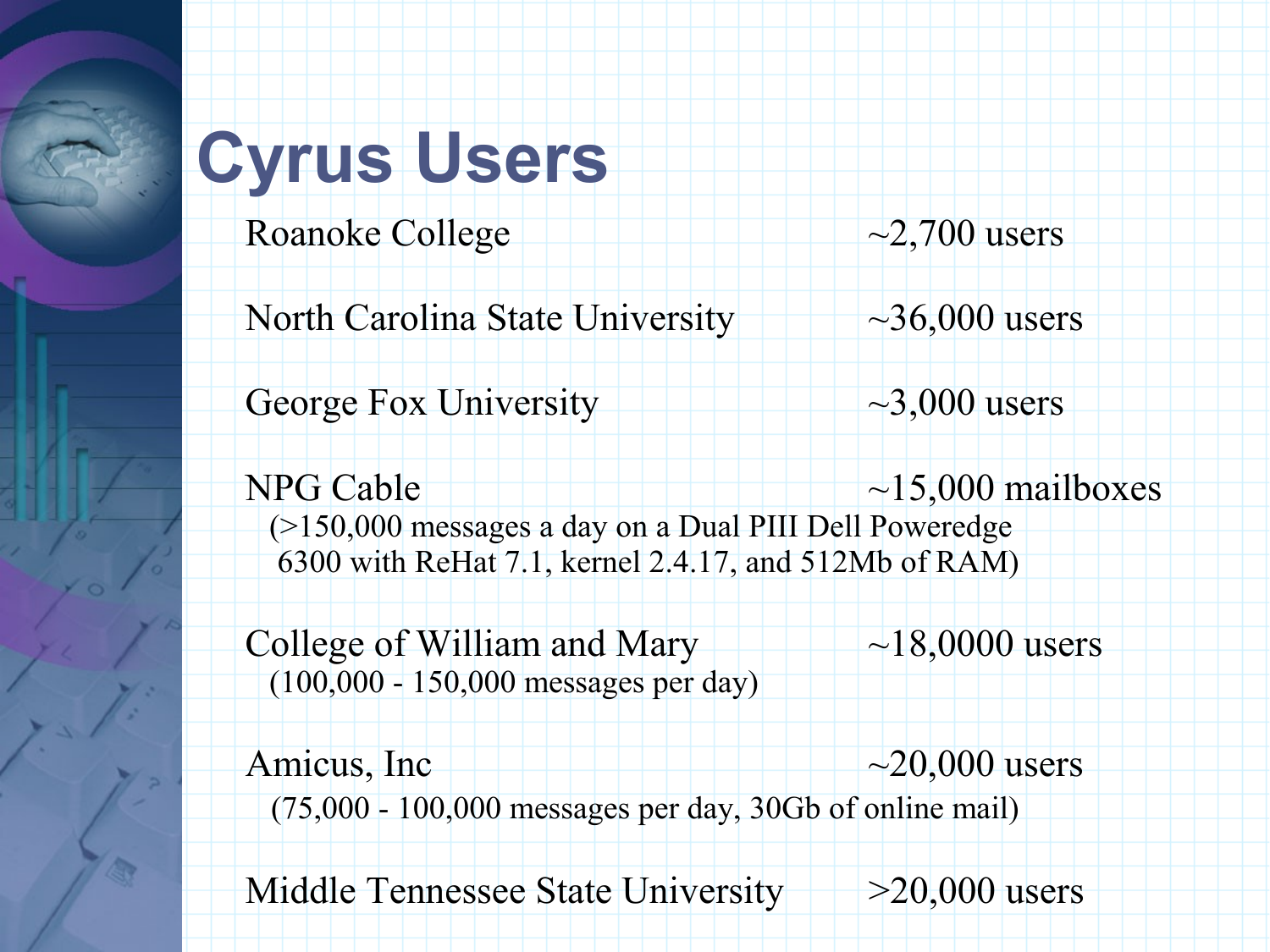## **Cyrus Users**

Roanoke College  $\sim$  2,700 users



North Carolina State University  $\rightarrow$  36,000 users

George Fox University  $\sim$ 3,000 users

 $NPG$  Cable  $\parallel$   $\parallel$   $\parallel$   $\parallel$   $\parallel$   $\sim$  15,000 mailboxes (>150,000 messages a day on a Dual PIII Dell Poweredge 6300 with ReHat 7.1, kernel 2.4.17, and 512Mb of RAM)

College of William and Mary  $\rightarrow$   $\rightarrow$  18,0000 users (100,000 - 150,000 messages per day)

Amicus, Inc $\sim$  20,000 users (75,000 - 100,000 messages per day, 30Gb of online mail)

Middle Tennessee State University  $\rightarrow$  >20,000 users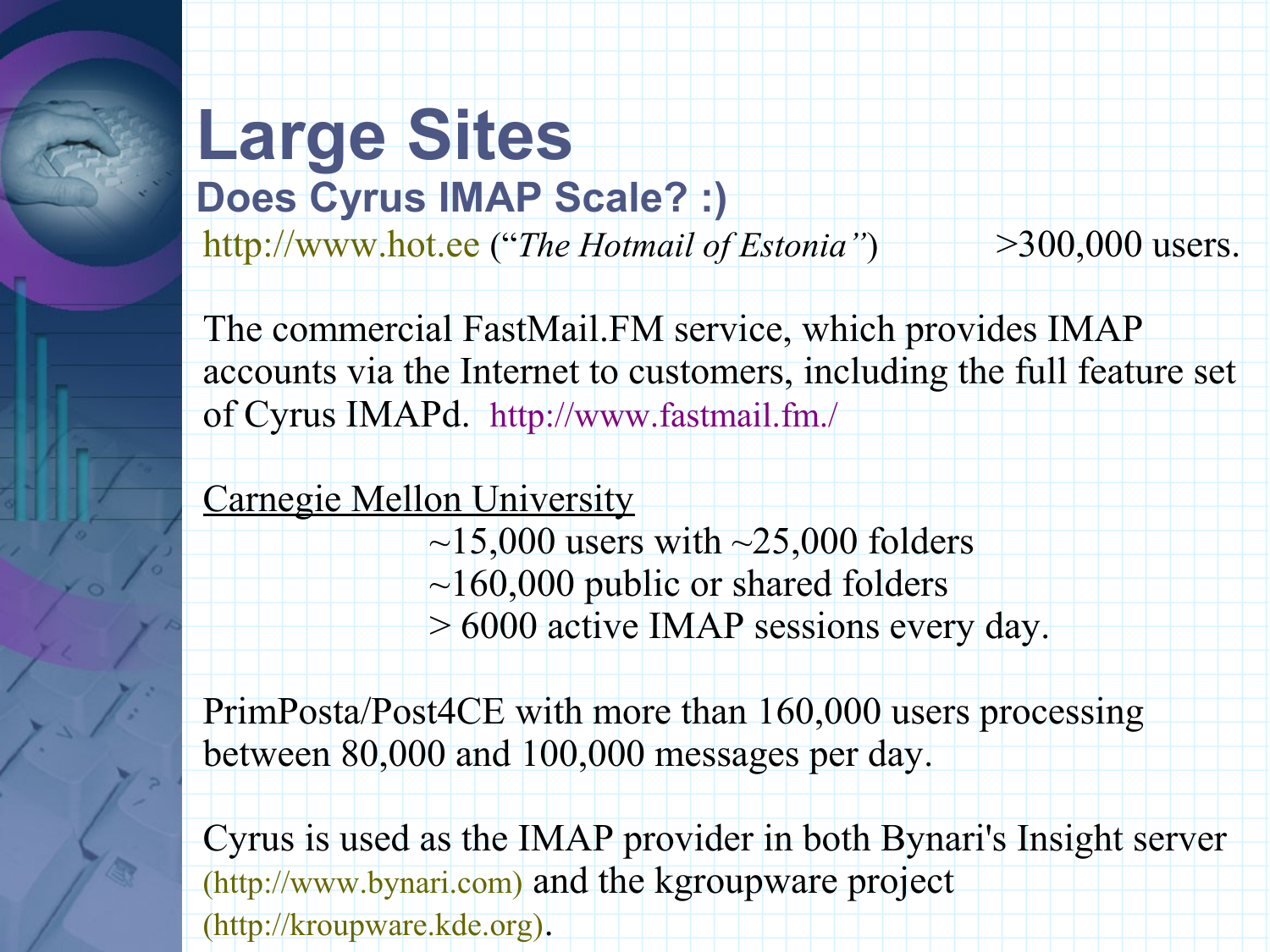#### **Large Sites Does Cyrus IMAP Scale? :)**

http://www.hot.ee ("*The Hotmail of Estonia"*) >300,000 users.

The commercial FastMail.FM service, which provides IMAP accounts via the Internet to customers, including the full feature set of Cyrus IMAPd. http://www.fastmail.fm./

#### Carnegie Mellon University

 $\sim$ 15,000 users with  $\sim$ 25,000 folders  $\sim$ 160,000 public or shared folders > 6000 active IMAP sessions every day.

PrimPosta/Post4CE with more than 160,000 users processing between 80,000 and 100,000 messages per day.

Cyrus is used as the IMAP provider in both Bynari's Insight server (http://www.bynari.com) and the kgroupware project (http://kroupware.kde.org).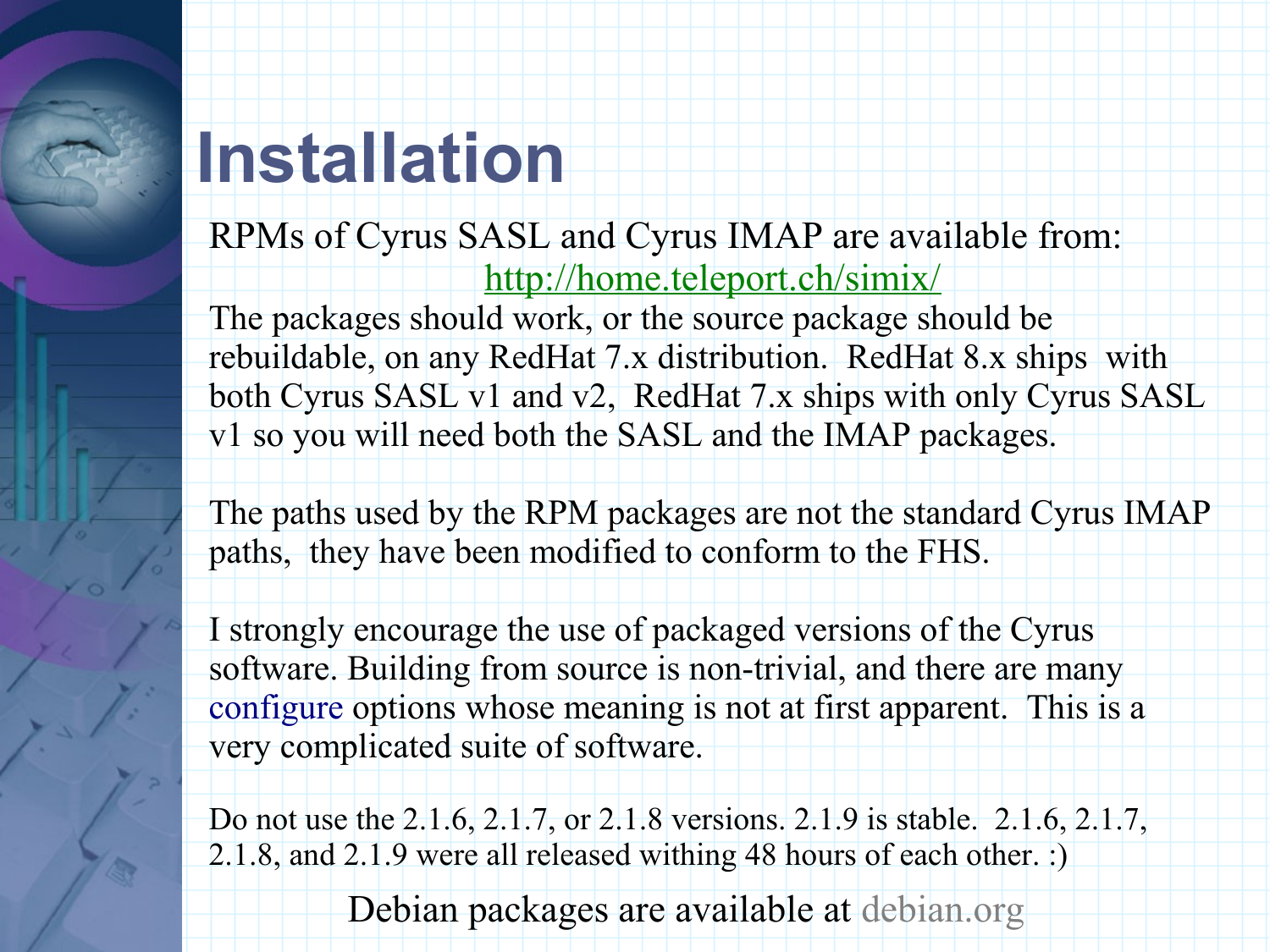#### **Installation**

RPMs of Cyrus SASL and Cyrus IMAP are available from: http://home.teleport.ch/simix/

The packages should work, or the source package should be rebuildable, on any RedHat 7.x distribution. RedHat 8.x ships with both Cyrus SASL v1 and v2, RedHat 7.x ships with only Cyrus SASL v1 so you will need both the SASL and the IMAP packages.

The paths used by the RPM packages are not the standard Cyrus IMAP paths, they have been modified to conform to the FHS.

I strongly encourage the use of packaged versions of the Cyrus software. Building from source is non-trivial, and there are many configure options whose meaning is not at first apparent. This is a very complicated suite of software.

Do not use the 2.1.6, 2.1.7, or 2.1.8 versions. 2.1.9 is stable. 2.1.6, 2.1.7, 2.1.8, and 2.1.9 were all released withing 48 hours of each other. :)

Debian packages are available at debian.org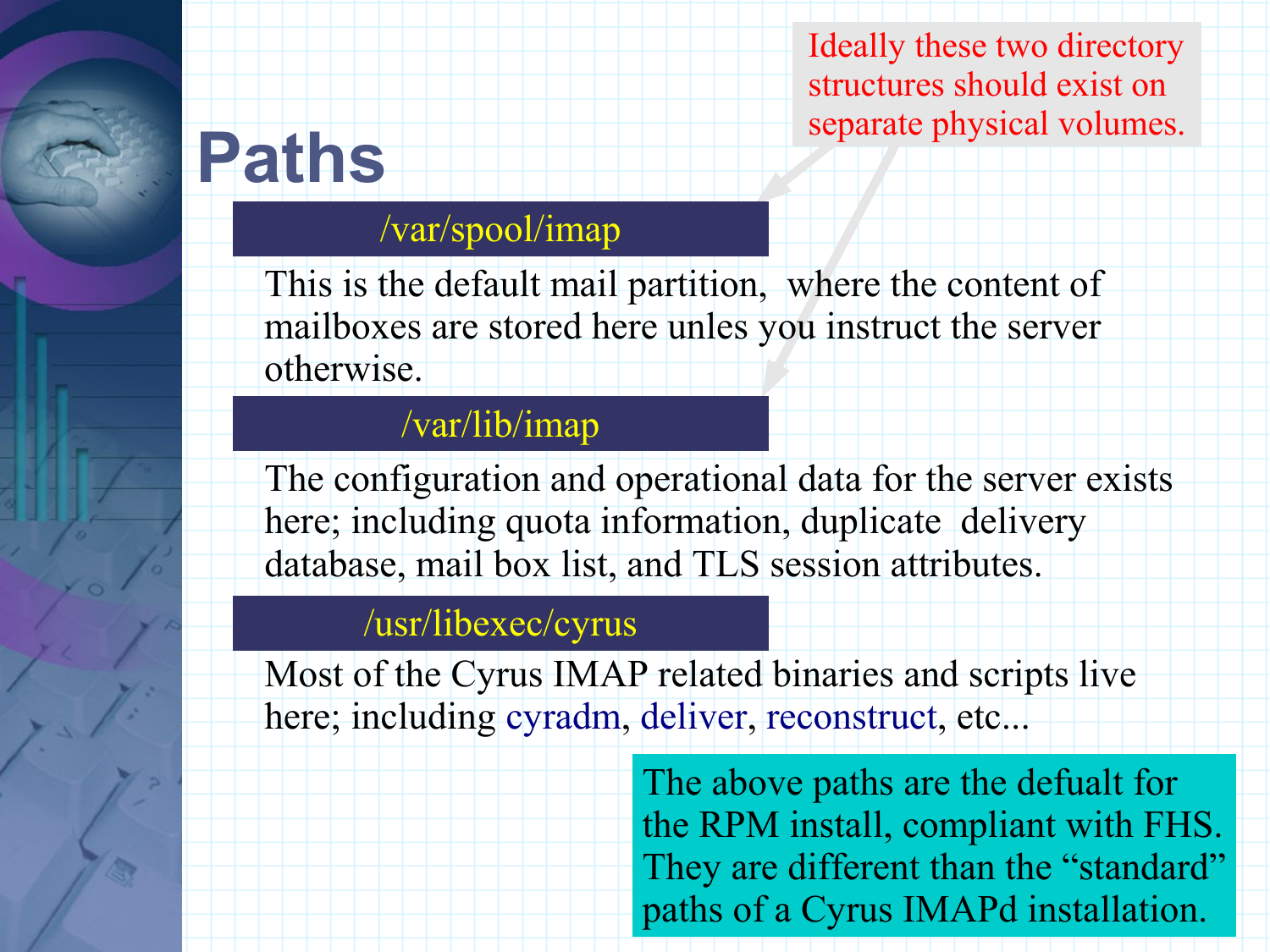Ideally these two directory structures should exist on separate physical volumes.

## **Paths**

#### /var/spool/imap

This is the default mail partition, where the content of mailboxes are stored here unles you instruct the server otherwise.

#### /var/lib/imap

The configuration and operational data for the server exists here; including quota information, duplicate delivery database, mail box list, and TLS session attributes.

#### /usr/libexec/cyrus

Most of the Cyrus IMAP related binaries and scripts live here; including cyradm, deliver, reconstruct, etc...

> The above paths are the defualt for the RPM install, compliant with FHS. They are different than the "standard" paths of a Cyrus IMAPd installation.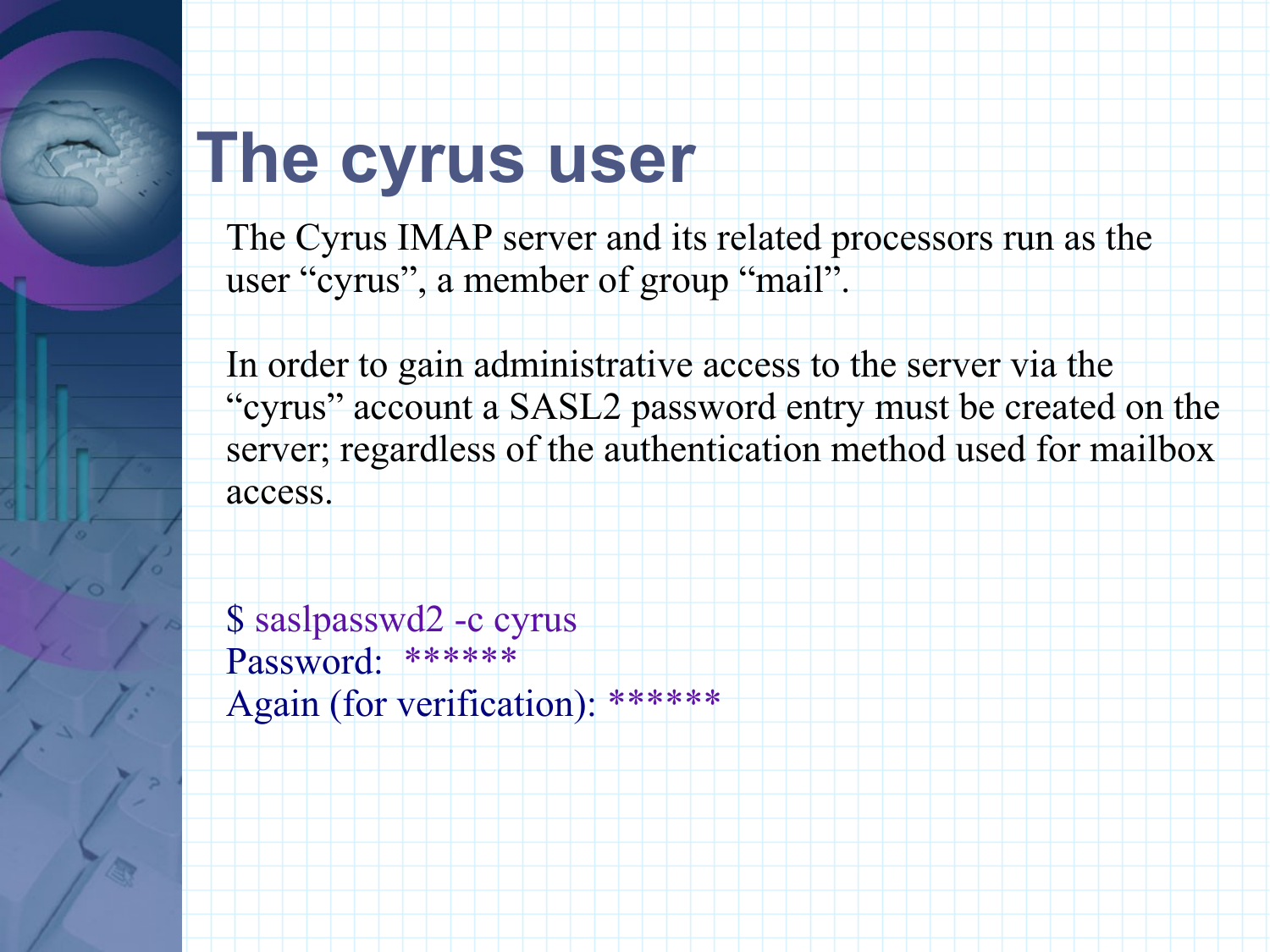#### **The cyrus user**

The Cyrus IMAP server and its related processors run as the user "cyrus", a member of group "mail".

In order to gain administrative access to the server via the "cyrus" account a SASL2 password entry must be created on the server; regardless of the authentication method used for mailbox access.

\$ saslpasswd2 -c cyrus Password: \*\*\*\*\*\* Again (for verification): \*\*\*\*\*\*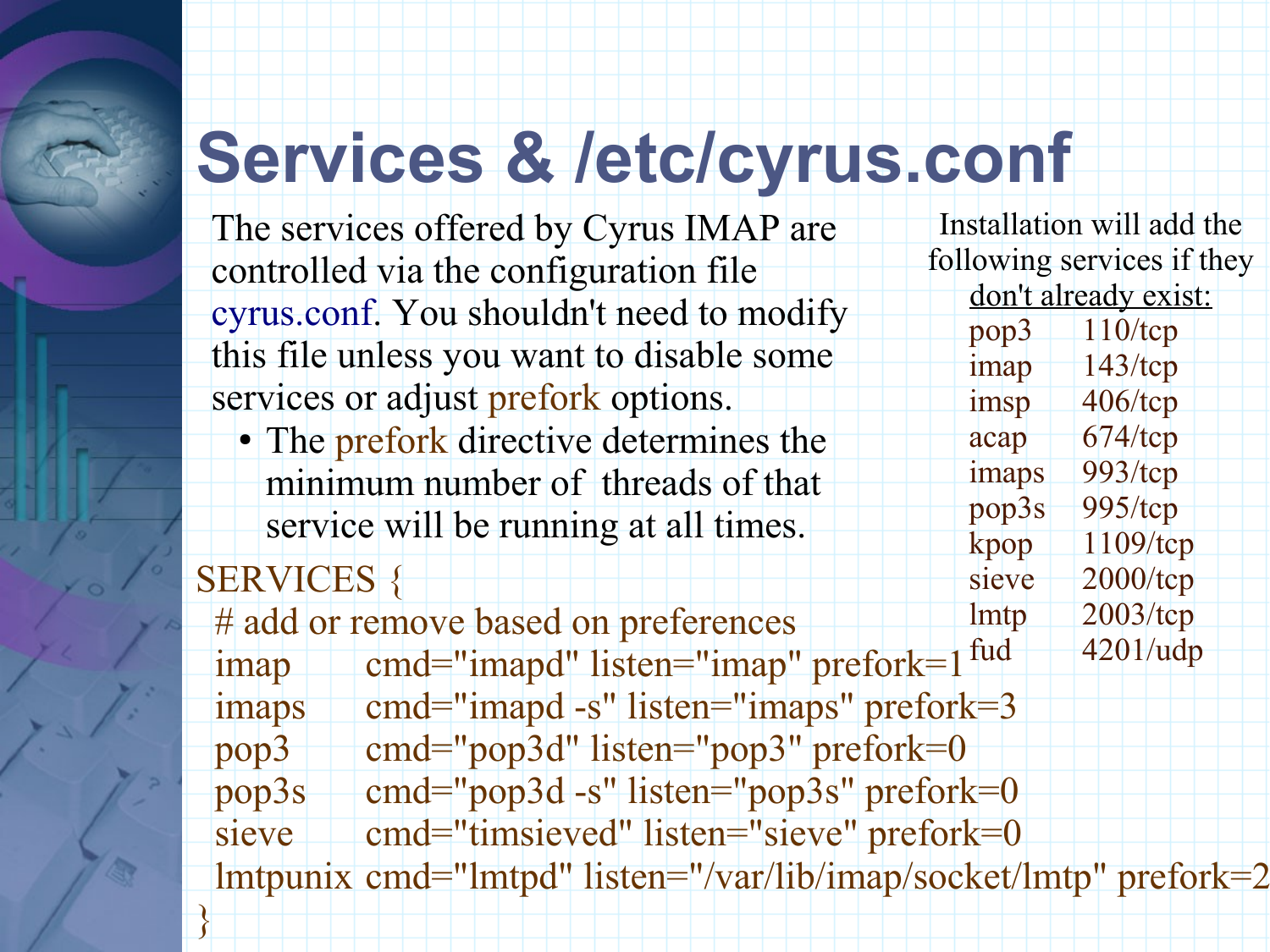## **Services & /etc/cyrus.conf**

The services offered by Cyrus IMAP are controlled via the configuration file cyrus.conf. You shouldn't need to modify this file unless you want to disable some services or adjust prefork options.

SERVICES { • The prefork directive determines the minimum number of threads of that service will be running at all times.

}

# add or remove based on preferences imap cmd="imapd" listen="imap" prefork=1 imaps cmd="imapd -s" listen="imaps" prefork=3 pop3 cmd="pop3d" listen="pop3" prefork=0 pop3s cmd="pop3d -s" listen="pop3s" prefork=0 sieve cmd="timsieved" listen="sieve" prefork=0 lmtpunix cmd="lmtpd" listen="/var/lib/imap/socket/lmtp" prefork=2

Installation will add the following services if they don't already exist: pop3 110/tcp imap 143/tcp imsp 406/tcp acap 674/tcp imaps 993/tcp  $pop3s - 995/top$ kpop 1109/tcp sieve 2000/tcp lmtp 2003/tcp fud  $4201/udp$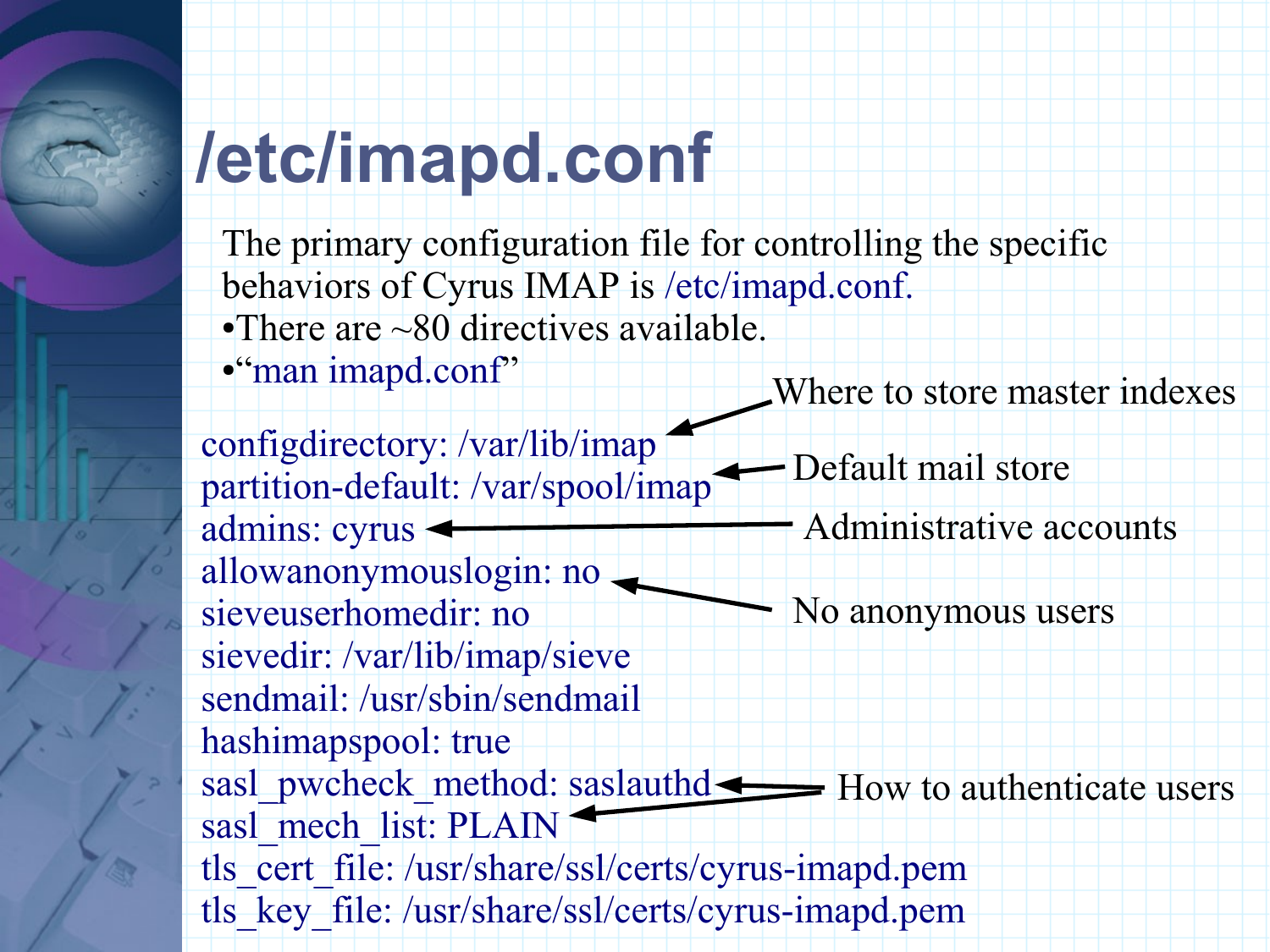### **/etc/imapd.conf**

The primary configuration file for controlling the specific behaviors of Cyrus IMAP is /etc/imapd.conf.

•There are ~80 directives available.

●"man imapd.conf"

Where to store master indexes

configdirectory: /var/lib/imap partition-default: /var/spool/imap admins: cyrus allowanonymouslogin: no sieveuserhomedir: no sievedir: /var/lib/imap/sieve sendmail: /usr/sbin/sendmail hashimapspool: true sasl\_pwcheck\_method: saslauthd <>>
How to authenticate users sasl\_mech\_list: PLAIN tls\_cert\_file: /usr/share/ssl/certs/cyrus-imapd.pem tls\_key\_file: /usr/share/ssl/certs/cyrus-imapd.pem No anonymous users Administrative accounts Default mail store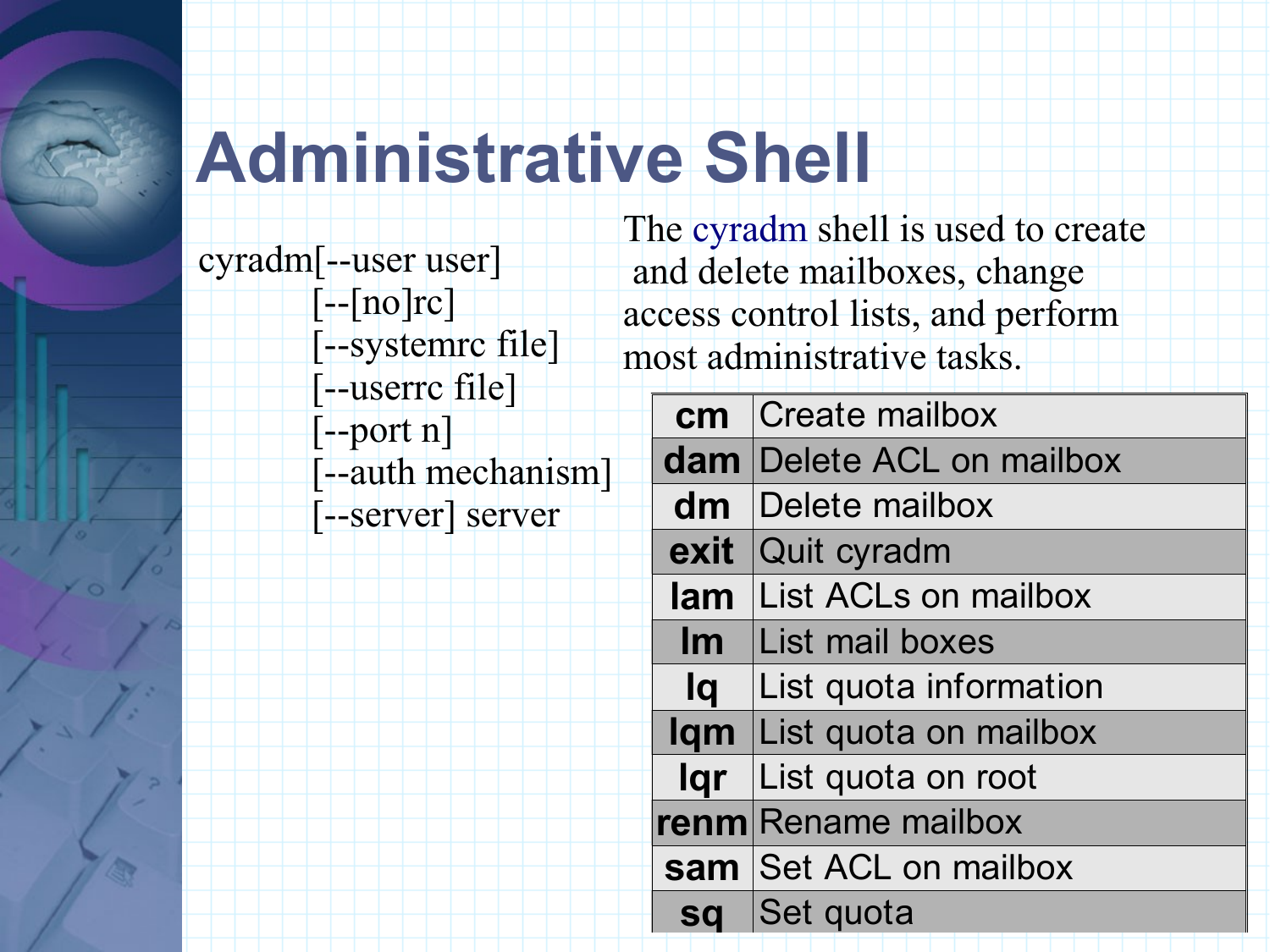### **Administrative Shell**

cyradm[--user user] [--[no]rc] [--systemrc file] [--userrc file] [--port n] [--auth mechanism] [--server] server

The cyradm shell is used to create and delete mailboxes, change access control lists, and perform most administrative tasks.

| cm        | Create mailbox              |  |  |
|-----------|-----------------------------|--|--|
| $d$ am    | Delete ACL on mailbox       |  |  |
| dm        | Delete mailbox              |  |  |
| exit      | Quit cyradm                 |  |  |
| lam       | <b>List ACLs on mailbox</b> |  |  |
| Im        | <b>List mail boxes</b>      |  |  |
| lq        | List quota information      |  |  |
| lqm       | List quota on mailbox       |  |  |
| lgr       | List quota on root          |  |  |
| renm      | <b>Rename mailbox</b>       |  |  |
| sam       | Set ACL on mailbox          |  |  |
| <b>sa</b> | Set quota                   |  |  |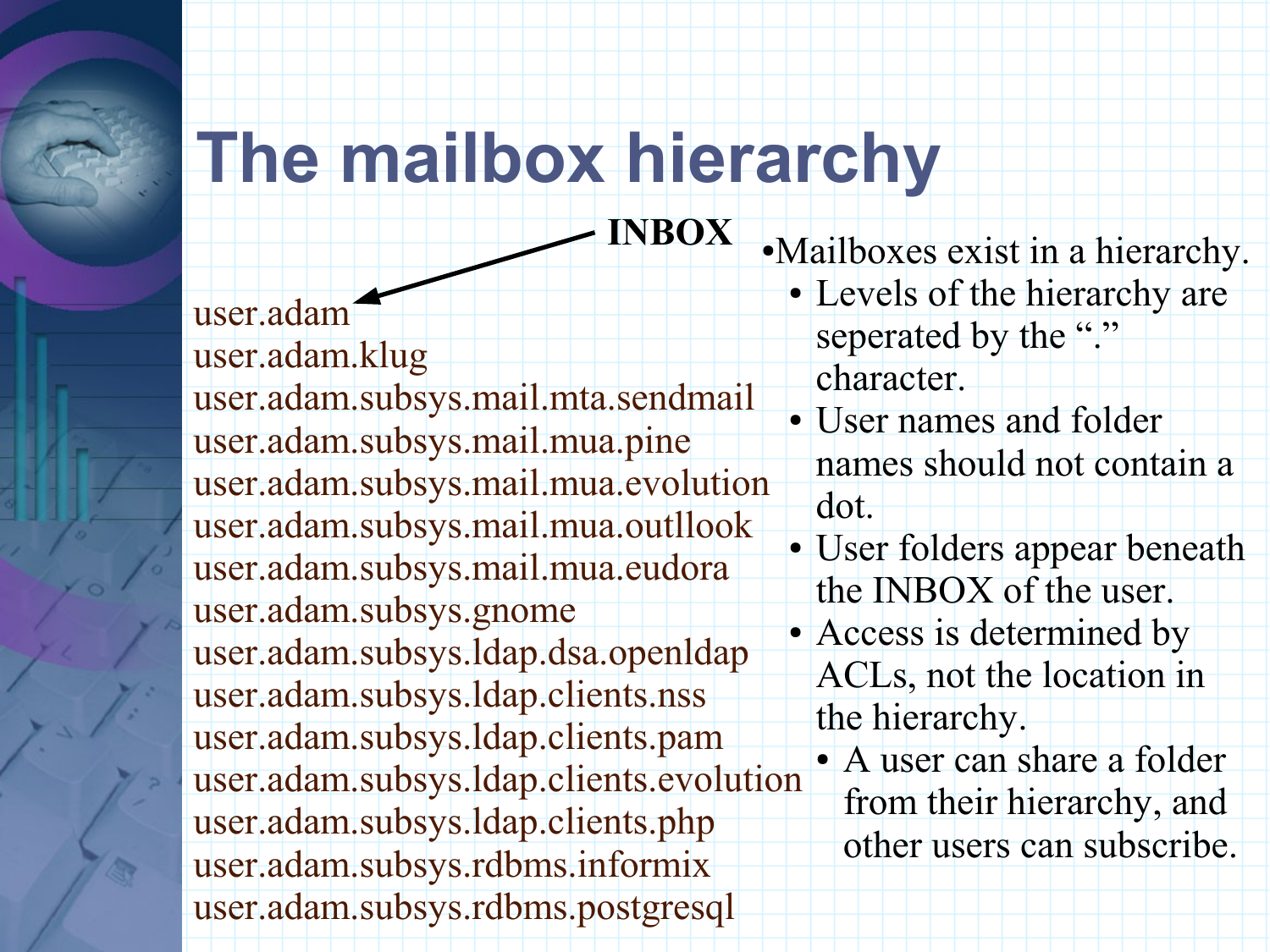#### **The mailbox hierarchy**

**INBOX**

user.adam user.adam.klug user.adam.subsys.mail.mta.sendmail user.adam.subsys.mail.mua.pine user.adam.subsys.mail.mua.evolution user.adam.subsys.mail.mua.outllook user.adam.subsys.mail.mua.eudora user.adam.subsys.gnome user.adam.subsys.ldap.dsa.openldap user.adam.subsys.ldap.clients.nss user.adam.subsys.ldap.clients.pam user.adam.subsys.ldap.clients.evolution user.adam.subsys.ldap.clients.php user.adam.subsys.rdbms.informix user.adam.subsys.rdbms.postgresql

●Mailboxes exist in a hierarchy. • Levels of the hierarchy are seperated by the "." character.

- User names and folder names should not contain a dot.
- User folders appear beneath the INBOX of the user. • Access is determined by ACLs, not the location in the hierarchy.
	- A user can share a folder from their hierarchy, and other users can subscribe.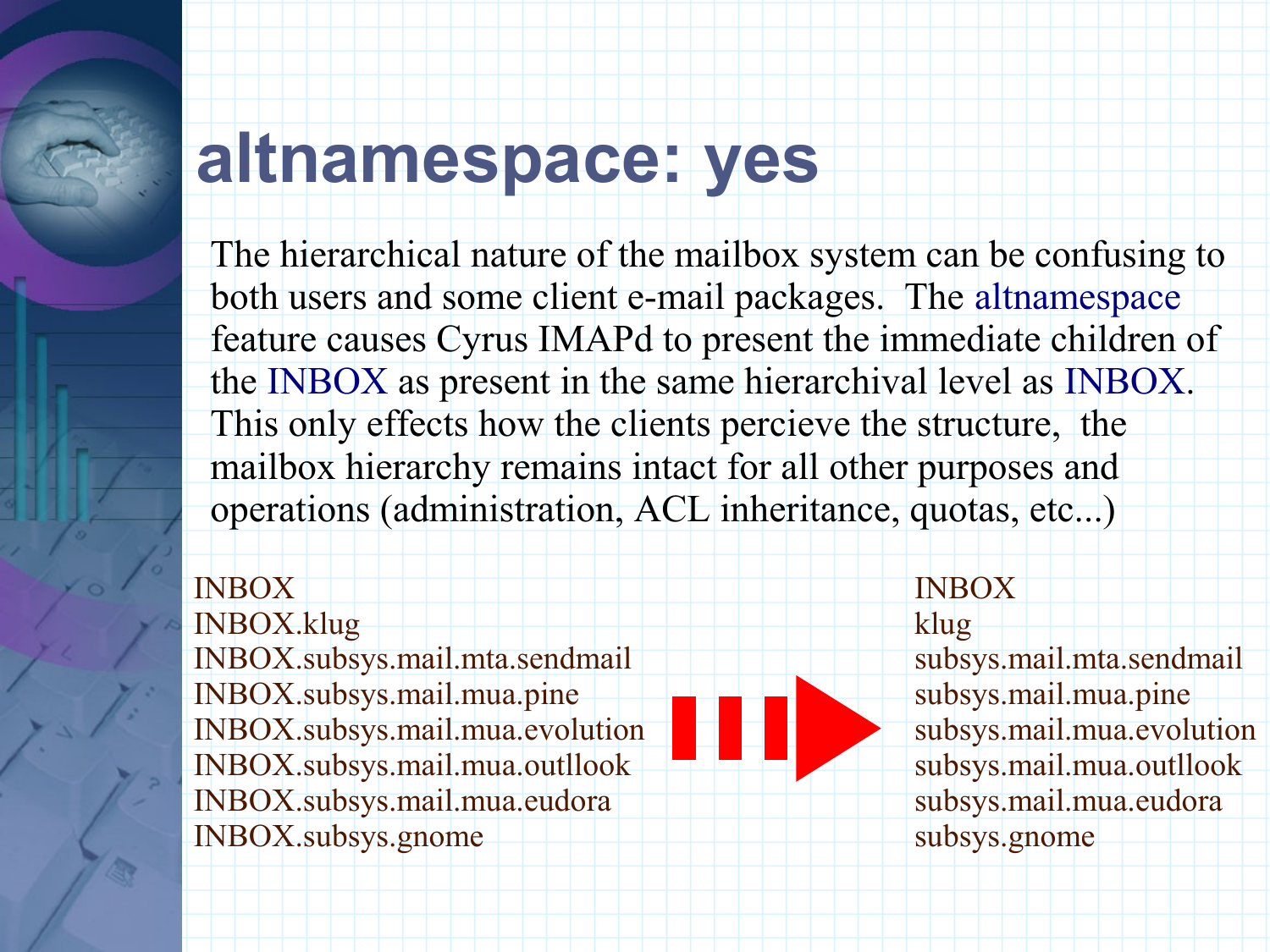#### **altnamespace: yes**

The hierarchical nature of the mailbox system can be confusing to both users and some client e-mail packages. The altnamespace feature causes Cyrus IMAPd to present the immediate children of the INBOX as present in the same hierarchival level as INBOX. This only effects how the clients percieve the structure, the mailbox hierarchy remains intact for all other purposes and operations (administration, ACL inheritance, quotas, etc...)

#### INBOX

INBOX.klug INBOX.subsys.mail.mta.sendmail INBOX.subsys.mail.mua.pine INBOX.subsys.mail.mua.evolution INBOX.subsys.mail.mua.outllook INBOX.subsys.mail.mua.eudora INBOX.subsys.gnome

#### INBOX klug

subsys.mail.mta.sendmail subsys.mail.mua.pine subsys.mail.mua.evolution subsys.mail.mua.outllook subsys.mail.mua.eudora subsys.gnome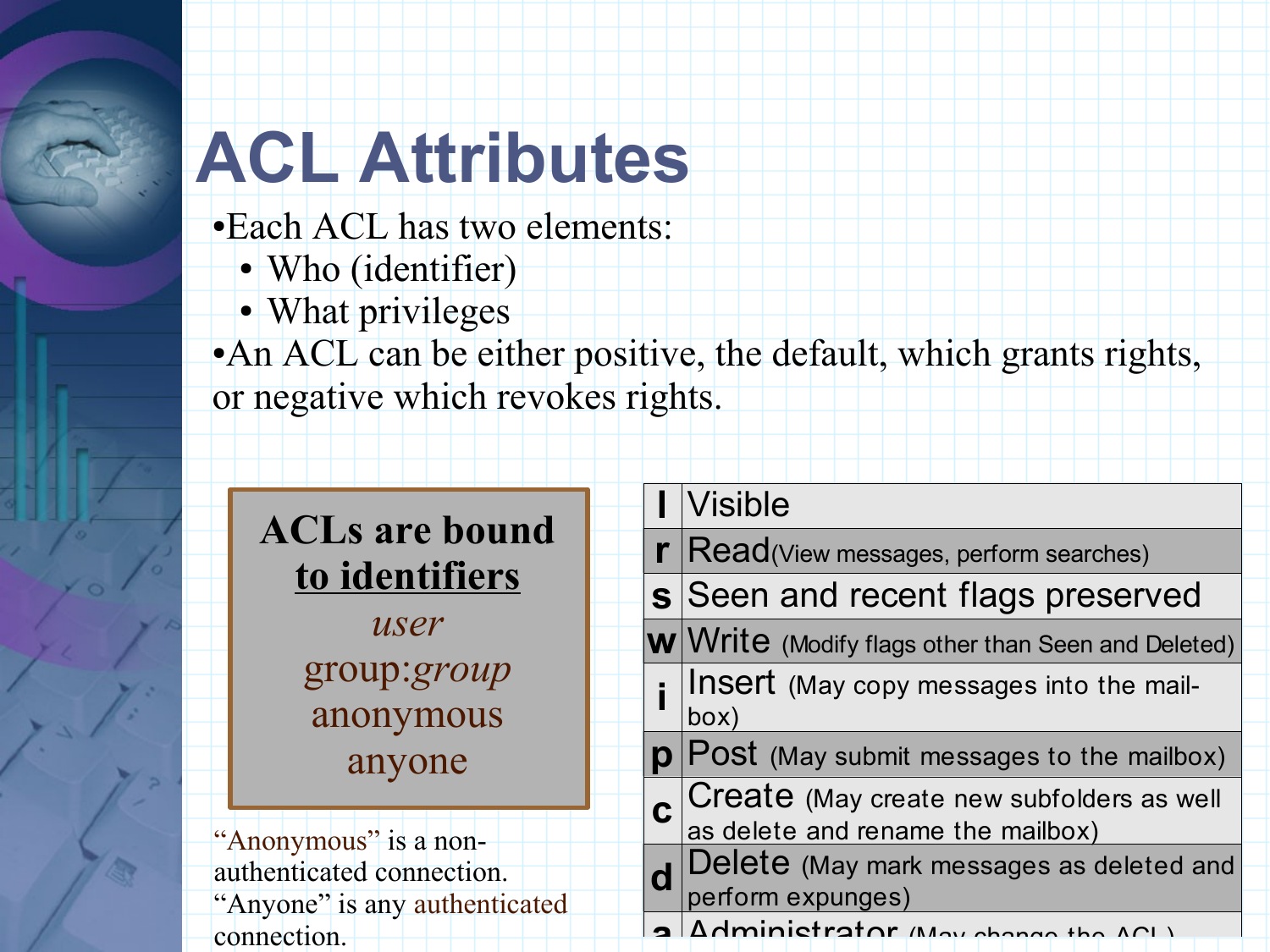## **ACL Attributes**

●Each ACL has two elements:

- Who (identifier)
- What privileges

• An ACL can be either positive, the default, which grants rights, or negative which revokes rights.

|                               |                       |  | $ V$ isible                                                                    |
|-------------------------------|-----------------------|--|--------------------------------------------------------------------------------|
|                               | <b>ACLs are bound</b> |  | $\mathbf{r}$ Read(View messages, perform searches)                             |
|                               | to identifiers        |  | s Seen and recent flags preserved                                              |
|                               | user                  |  | W Write (Modify flags other than Seen and Deleted)                             |
|                               | group:group           |  | Insert (May copy messages into the mail-                                       |
|                               | anonymous             |  | box)                                                                           |
|                               | anyone                |  | $\mathbf{p}$ Post (May submit messages to the mailbox)                         |
|                               |                       |  | Create (May create new subfolders as well<br>as delete and rename the mailbox) |
| "Anonymous" is a non-         |                       |  |                                                                                |
| authenticated connection.     |                       |  | Delete (May mark messages as deleted and                                       |
| "Anyone" is any authenticated |                       |  | perform expunges)                                                              |
| connection.                   |                       |  | Adminictrator (Mov. change the ACL)                                            |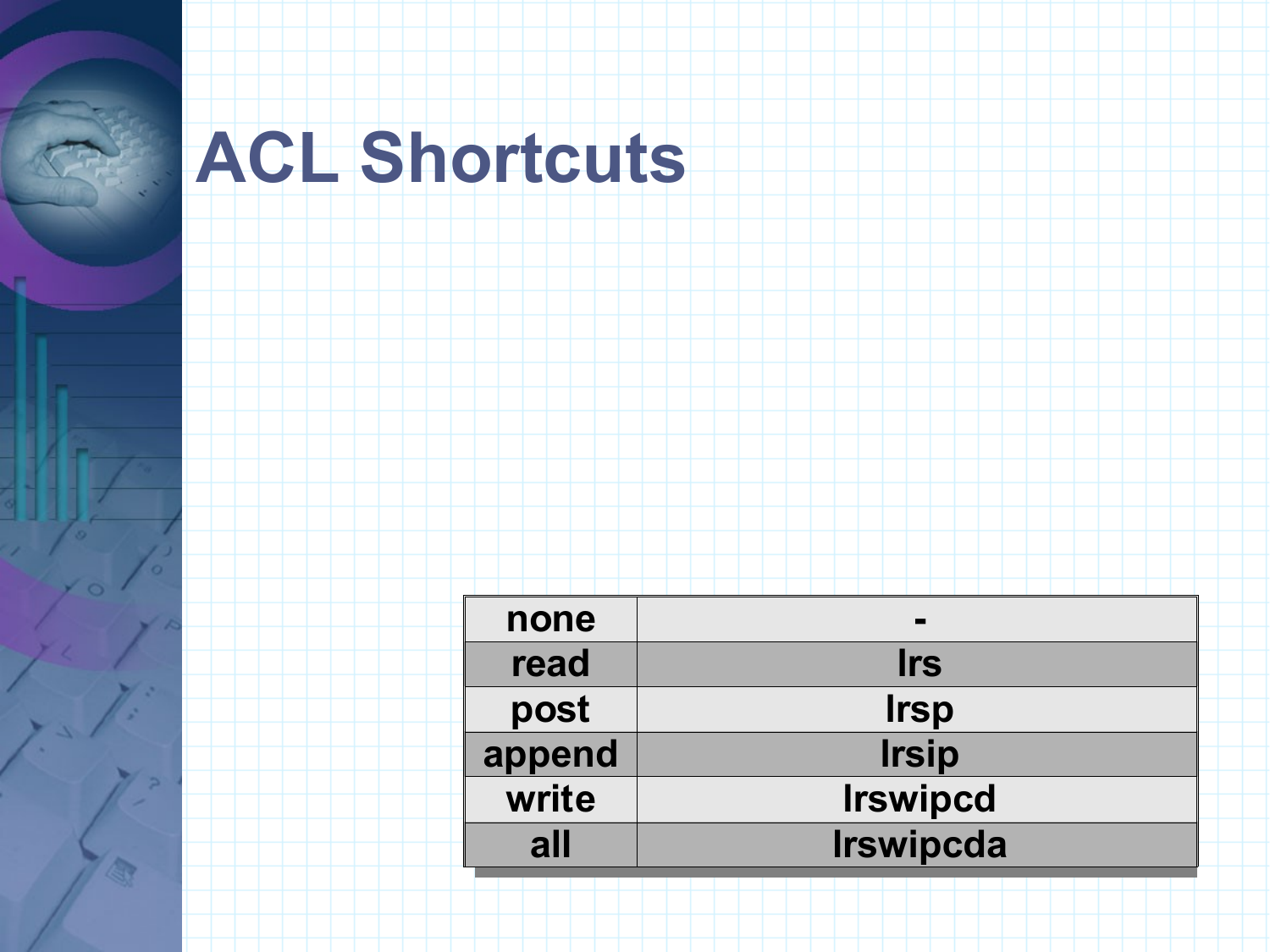## **ACL Shortcuts**

| none   | $\overline{\phantom{a}}$ |
|--------|--------------------------|
| read   | <b>Irs</b>               |
| post   | <b>Irsp</b>              |
| append | <b>Irsip</b>             |
| write  | <b>Irswipcd</b>          |
| all    | <b>Irswipcda</b>         |
|        |                          |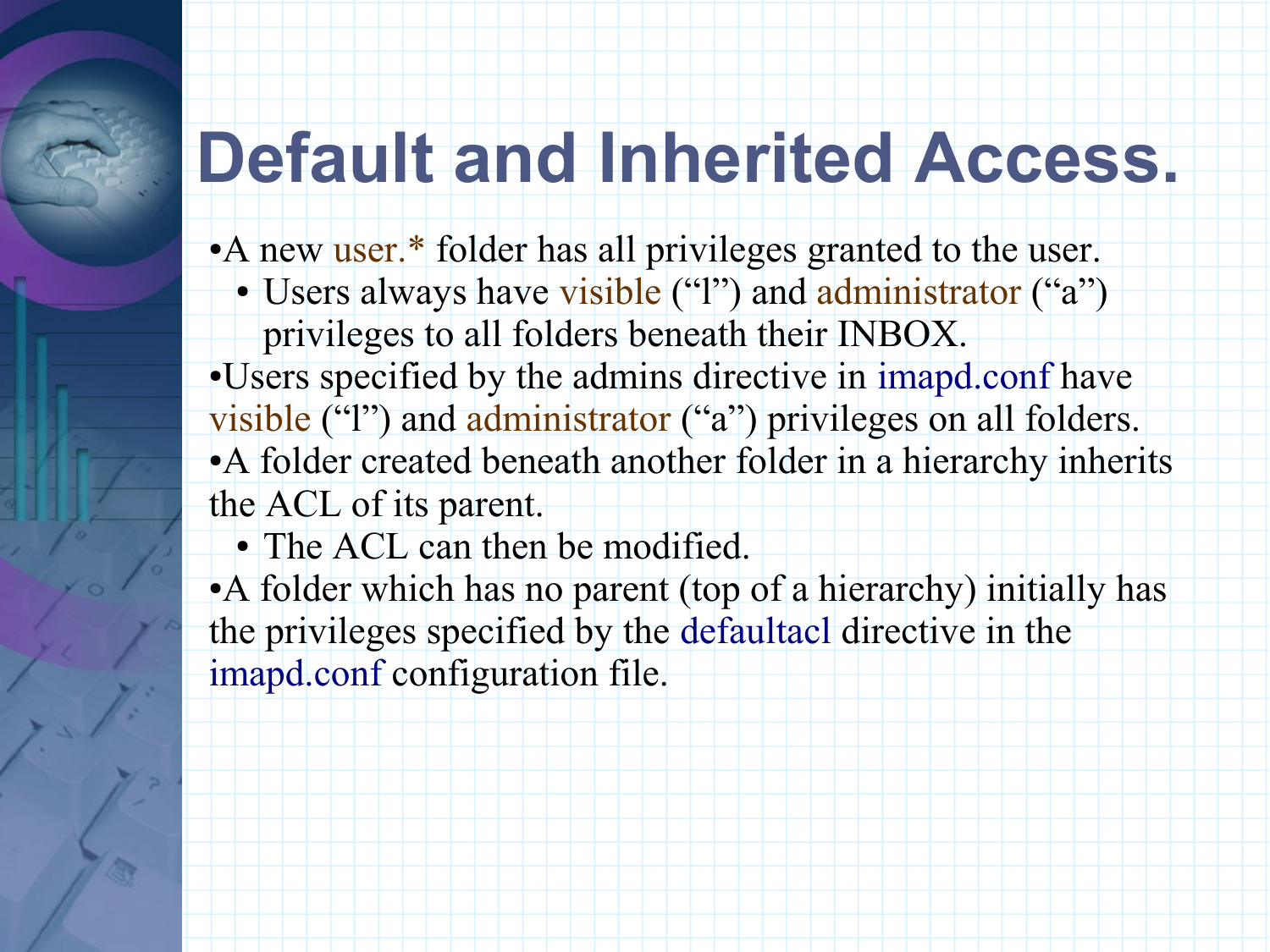#### **Default and Inherited Access.**

• A new user.\* folder has all privileges granted to the user.

• Users always have visible ("1") and administrator ("a") privileges to all folders beneath their INBOX.

●Users specified by the admins directive in imapd.conf have visible ("l") and administrator ("a") privileges on all folders. ●A folder created beneath another folder in a hierarchy inherits the ACL of its parent.

• The ACL can then be modified.

• A folder which has no parent (top of a hierarchy) initially has the privileges specified by the defaultacl directive in the imapd.conf configuration file.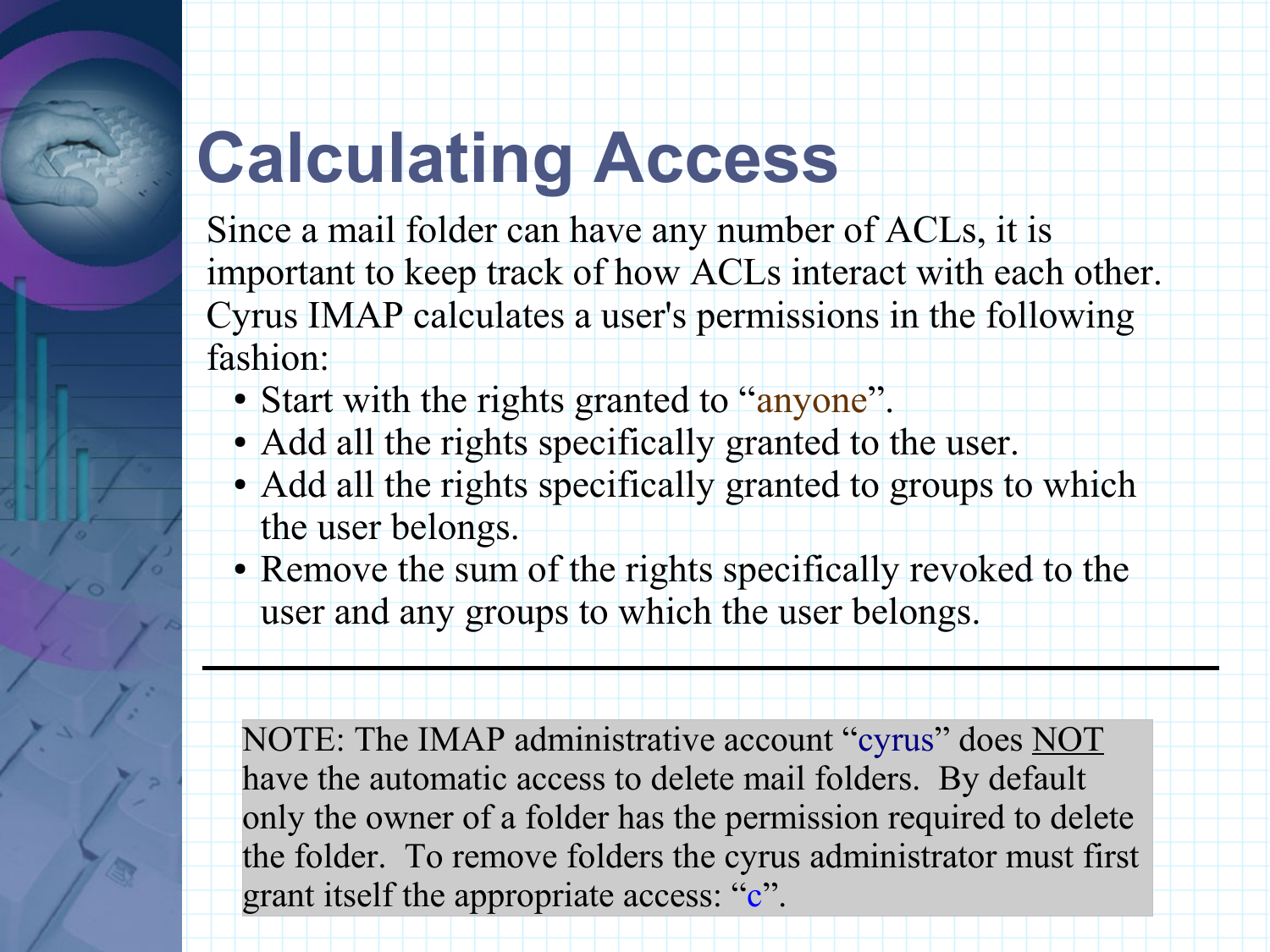# **Calculating Access**

Since a mail folder can have any number of ACLs, it is important to keep track of how ACLs interact with each other. Cyrus IMAP calculates a user's permissions in the following fashion:

- Start with the rights granted to "anyone".
- Add all the rights specifically granted to the user.
- Add all the rights specifically granted to groups to which the user belongs.
- Remove the sum of the rights specifically revoked to the user and any groups to which the user belongs.

NOTE: The IMAP administrative account "cyrus" does NOT have the automatic access to delete mail folders. By default only the owner of a folder has the permission required to delete the folder. To remove folders the cyrus administrator must first grant itself the appropriate access: "c".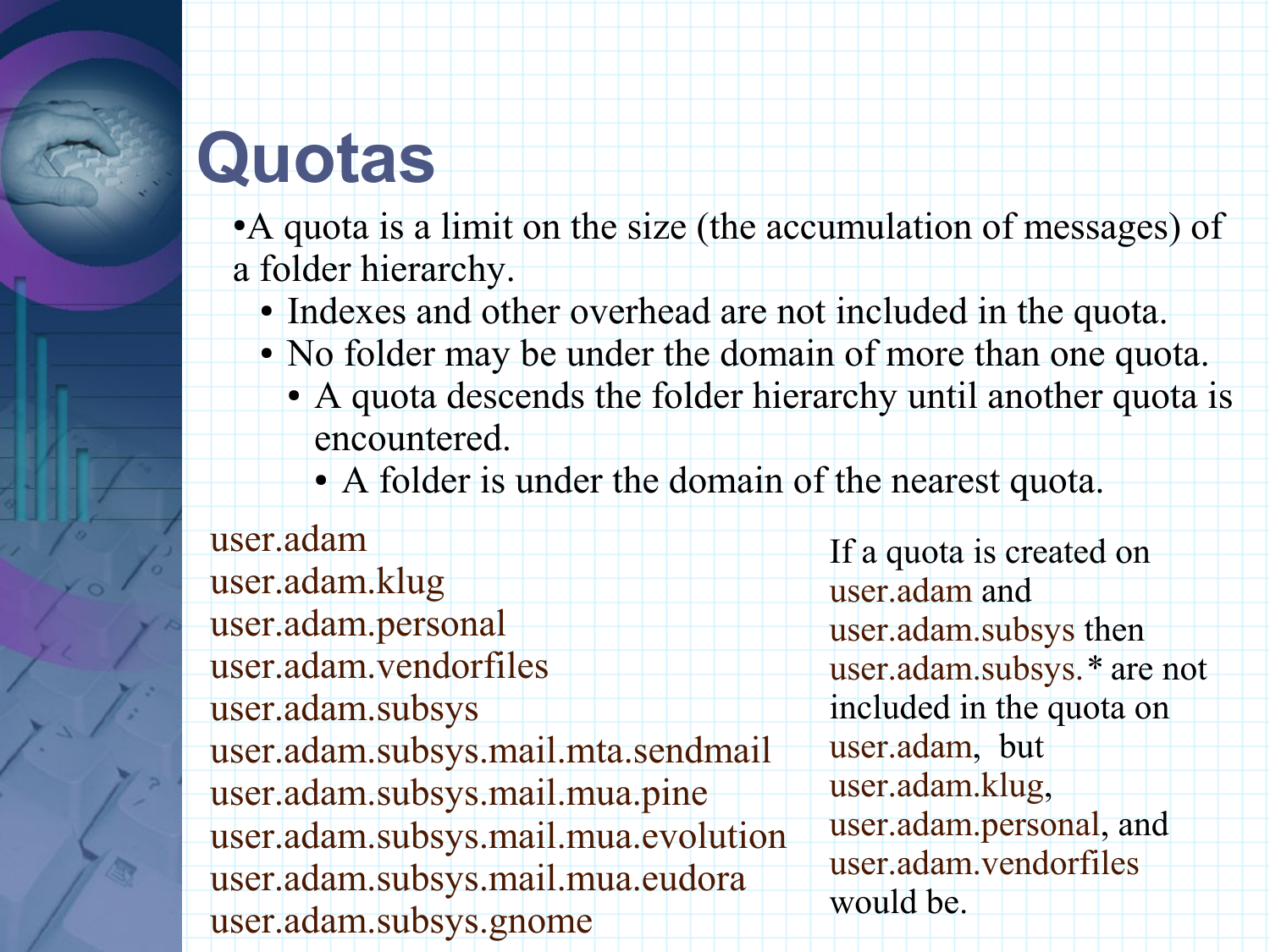# **Quotas**

•A quota is a limit on the size (the accumulation of messages) of a folder hierarchy.

- Indexes and other overhead are not included in the quota.
- No folder may be under the domain of more than one quota.
	- A quota descends the folder hierarchy until another quota is encountered.
		- A folder is under the domain of the nearest quota.

user.adam user.adam.klug user.adam.personal user.adam.vendorfiles user.adam.subsys user.adam.subsys.mail.mta.sendmail user.adam.subsys.mail.mua.pine user.adam.subsys.mail.mua.evolution user.adam.subsys.mail.mua.eudora user.adam.subsys.gnome

If a quota is created on user.adam and user.adam.subsys then user.adam.subsys.*\** are not included in the quota on user.adam, but user.adam.klug, user.adam.personal, and user.adam.vendorfiles would be.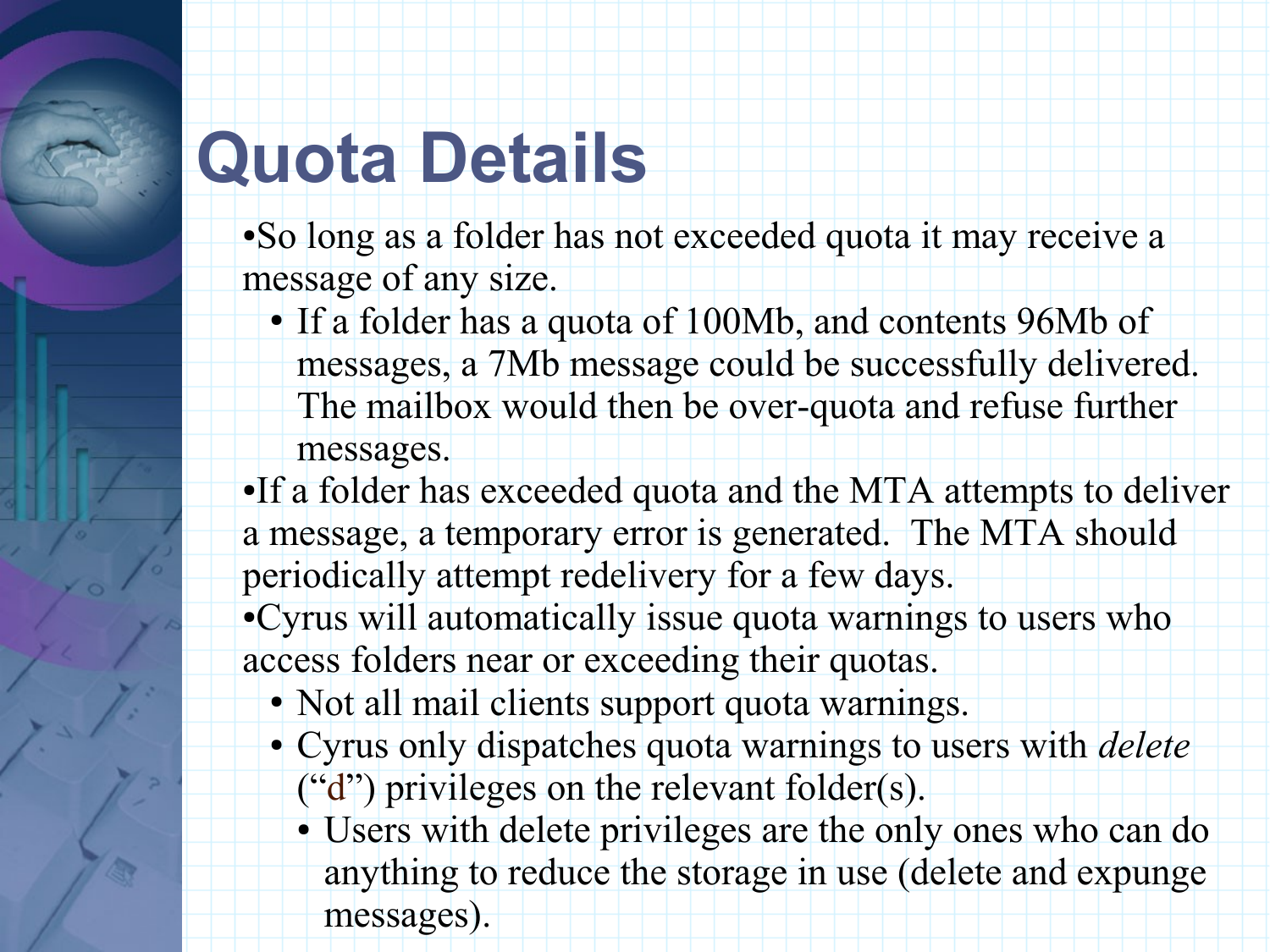## **Quota Details**

- So long as a folder has not exceeded quota it may receive a message of any size.
	- If a folder has a quota of 100Mb, and contents 96Mb of messages, a 7Mb message could be successfully delivered. The mailbox would then be over-quota and refuse further messages.
- ●If a folder has exceeded quota and the MTA attempts to deliver a message, a temporary error is generated. The MTA should periodically attempt redelivery for a few days.
- ●Cyrus will automatically issue quota warnings to users who access folders near or exceeding their quotas.
	- Not all mail clients support quota warnings.
	- Cyrus only dispatches quota warnings to users with *delete*  $('d")$  privileges on the relevant folder(s).
		- Users with delete privileges are the only ones who can do anything to reduce the storage in use (delete and expunge messages).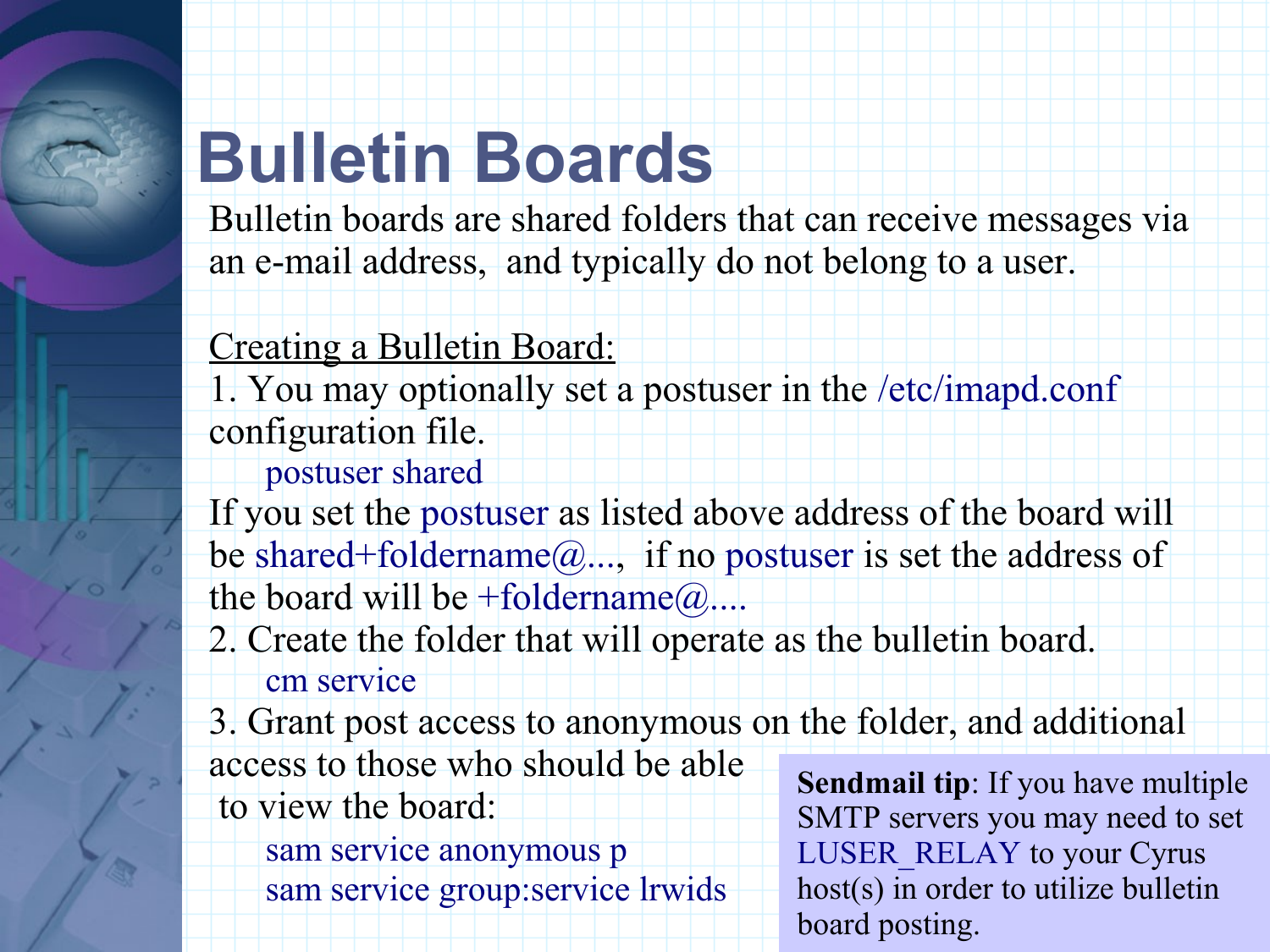## **Bulletin Boards**

Bulletin boards are shared folders that can receive messages via an e-mail address, and typically do not belong to a user.

#### Creating a Bulletin Board:

1. You may optionally set a postuser in the /etc/imapd.conf configuration file.

#### postuser shared

If you set the postuser as listed above address of the board will be shared+foldername $@...$ , if no postuser is set the address of the board will be +foldername $@...$ 

#### 2. Create the folder that will operate as the bulletin board. cm service

3. Grant post access to anonymous on the folder, and additional

access to those who should be able to view the board:

> sam service anonymous p sam service group:service lrwids

**Sendmail tip**: If you have multiple SMTP servers you may need to set LUSER\_RELAY to your Cyrus host(s) in order to utilize bulletin board posting.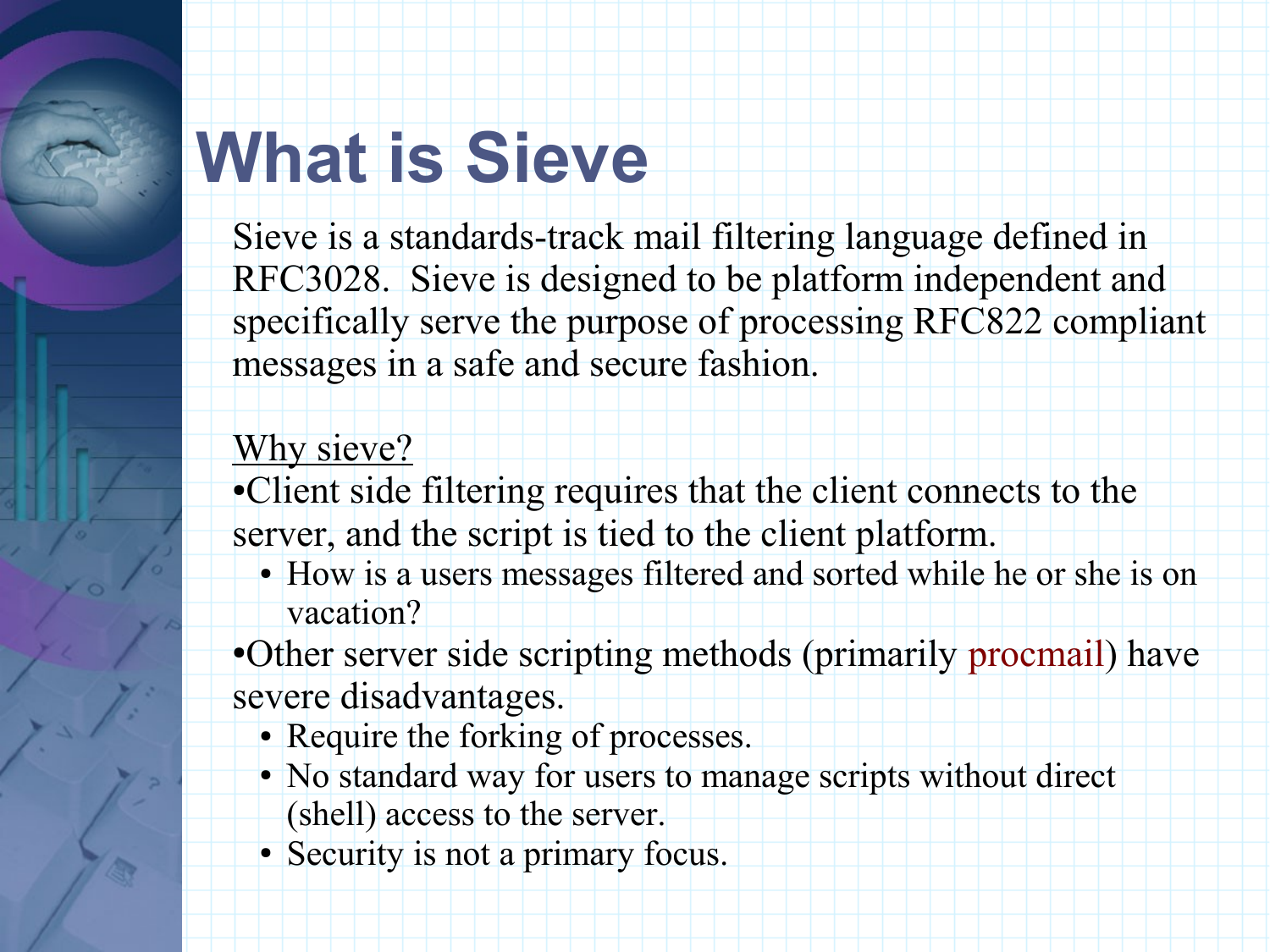## **What is Sieve**

Sieve is a standards-track mail filtering language defined in RFC3028. Sieve is designed to be platform independent and specifically serve the purpose of processing RFC822 compliant messages in a safe and secure fashion.

#### Why sieve?

●Client side filtering requires that the client connects to the server, and the script is tied to the client platform.

• How is a users messages filtered and sorted while he or she is on vacation?

●Other server side scripting methods (primarily procmail) have severe disadvantages.

- Require the forking of processes.
- No standard way for users to manage scripts without direct (shell) access to the server.
- Security is not a primary focus.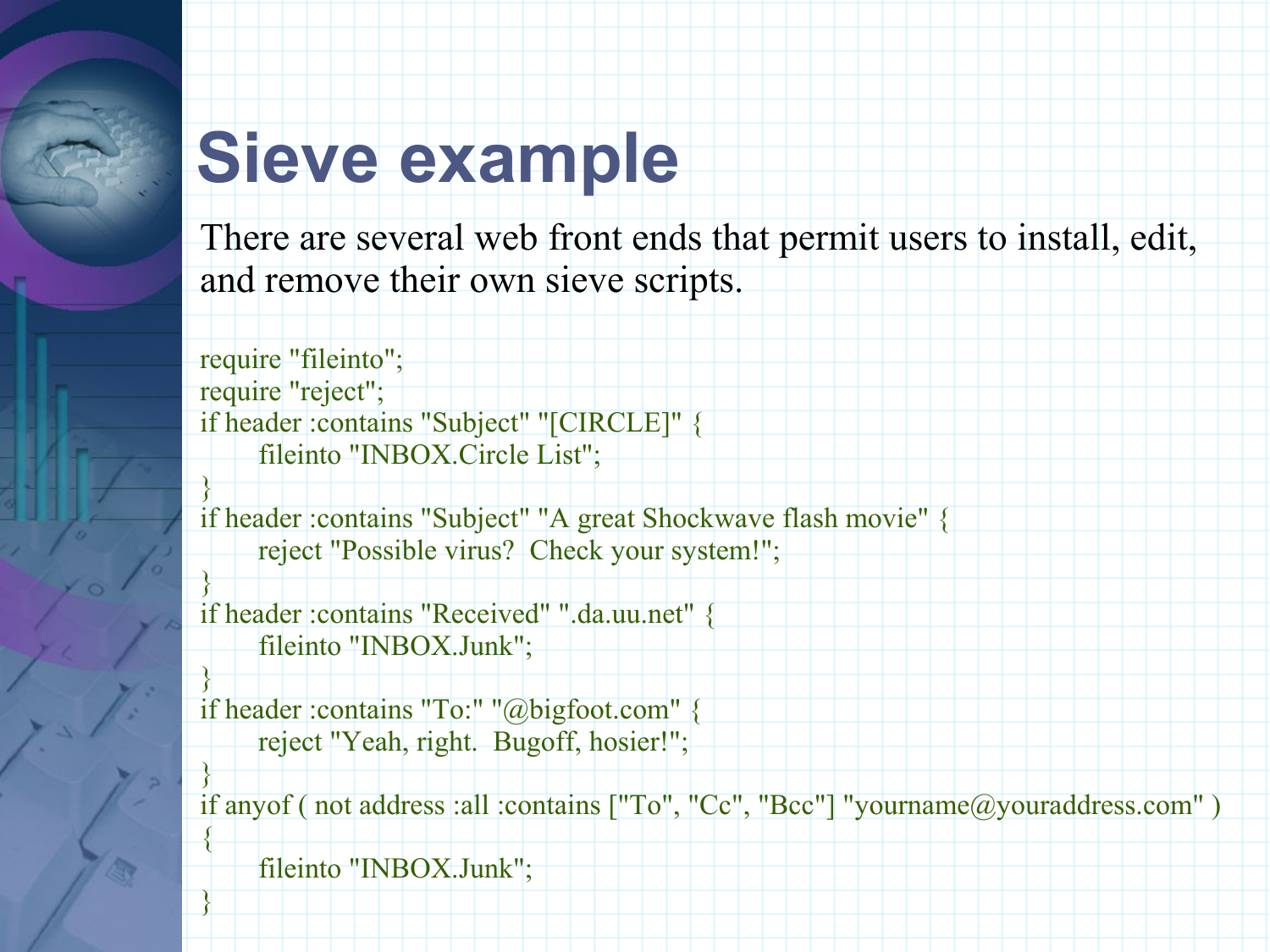## **Sieve example**

There are several web front ends that permit users to install, edit, and remove their own sieve scripts.

require "fileinto"; require "reject"; if header :contains "Subject" "[CIRCLE]" { fileinto "INBOX.Circle List";

if header :contains "Subject" "A great Shockwave flash movie" { reject "Possible virus? Check your system!";

if header :contains "Received" ".da.uu.net" { fileinto "INBOX.Junk";

if header :contains "To:" "@bigfoot.com" { reject "Yeah, right. Bugoff, hosier!";

} if anyof ( not address :all :contains ["To", "Cc", "Bcc"] "yourname@youraddress.com" ) {

fileinto "INBOX.Junk";

}

}

}

}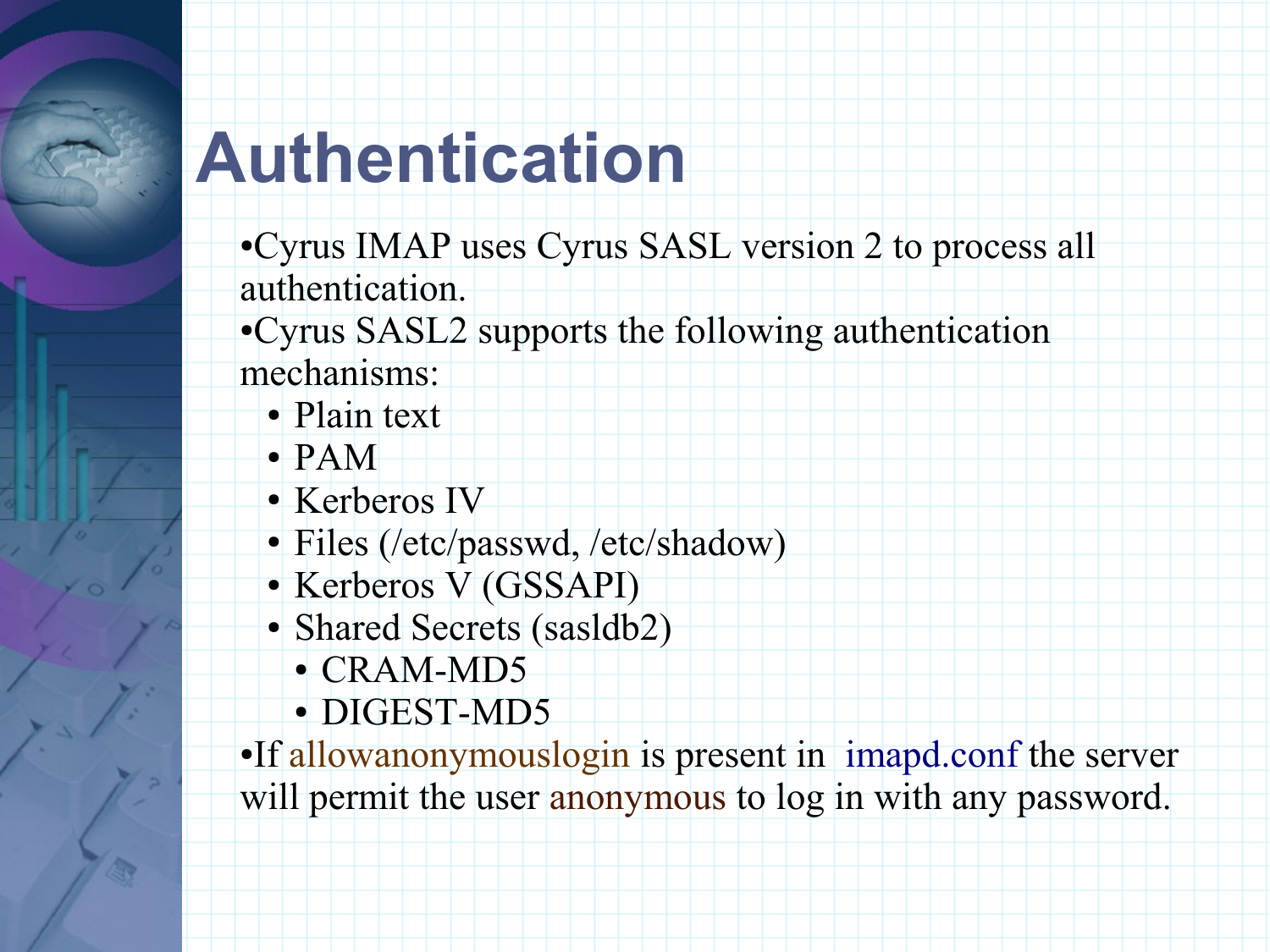## **Authentication**

- ●Cyrus IMAP uses Cyrus SASL version 2 to process all authentication.
- ●Cyrus SASL2 supports the following authentication mechanisms:
	- Plain text
	- PAM
	- Kerberos IV
	- Files (/etc/passwd, /etc/shadow)
	- Kerberos V (GSSAPI)
	- Shared Secrets (sasldb2)
		- CRAM-MD5
		- DIGEST-MD5

●If allowanonymouslogin is present in imapd.conf the server will permit the user anonymous to log in with any password.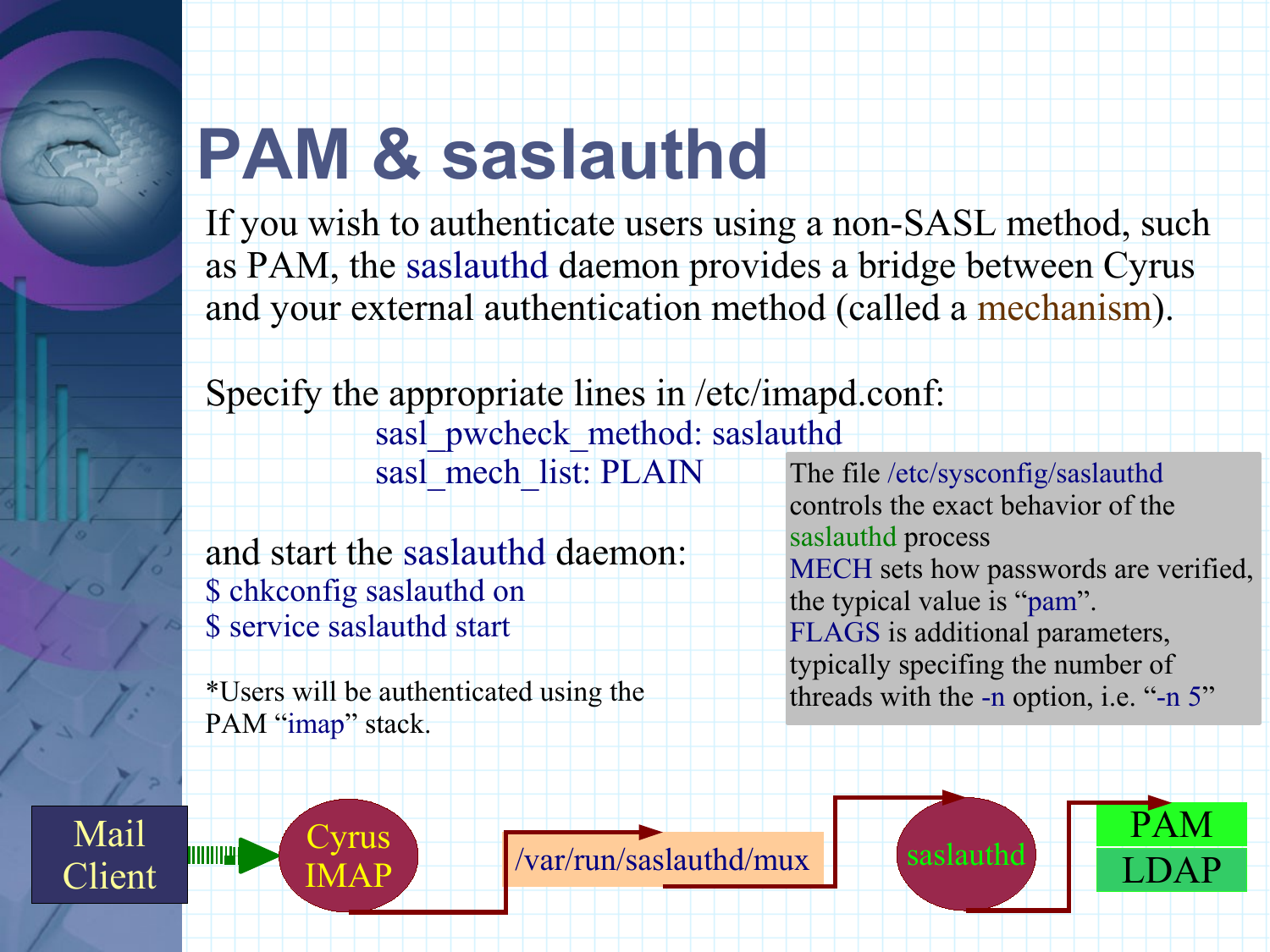## **PAM & saslauthd**

If you wish to authenticate users using a non-SASL method, such as PAM, the saslauthd daemon provides a bridge between Cyrus and your external authentication method (called a mechanism).

Specify the appropriate lines in /etc/imapd.conf:

sasl\_pwcheck\_method: saslauthd sasl\_mech\_list: PLAIN

and start the saslauthd daemon: \$ chkconfig saslauthd on

\$ service saslauthd start

\*Users will be authenticated using the PAM "imap" stack.

The file /etc/sysconfig/saslauthd controls the exact behavior of the saslauthd process MECH sets how passwords are verified, the typical value is "pam". FLAGS is additional parameters, typically specifing the number of threads with the -n option, i.e. "-n 5"

Mail Client



 $\begin{array}{|c|c|c|c|c|}\n\hline\n\text{MAP} & \text{Var/run/saslauthd/mux} \end{array}$  saslauthd

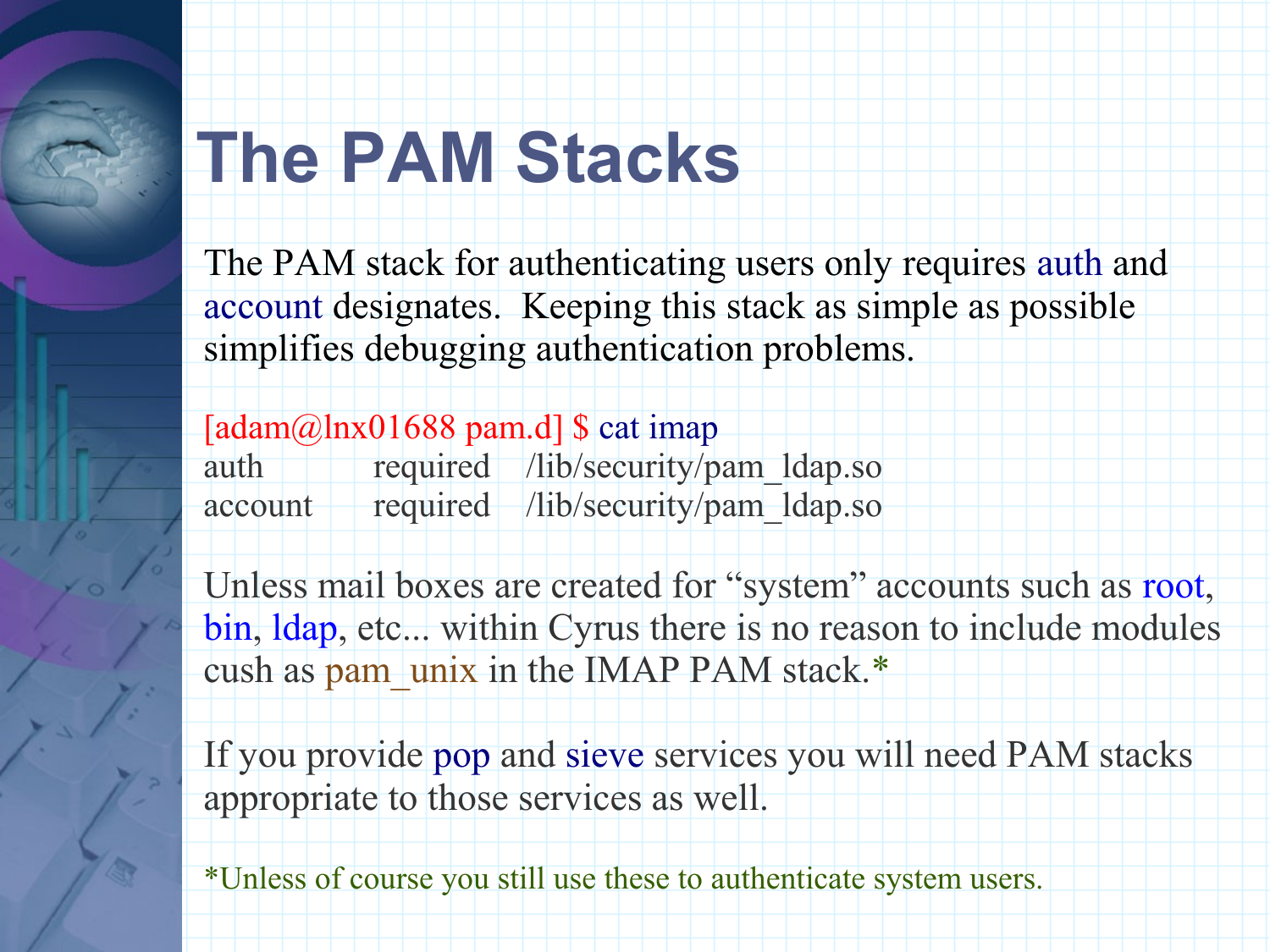### **The PAM Stacks**

The PAM stack for authenticating users only requires auth and account designates. Keeping this stack as simple as possible simplifies debugging authentication problems.

[ $adam@lnx01688$  pam.d] \$ cat imap auth required /lib/security/pam\_ldap.so account required /lib/security/pam\_ldap.so

Unless mail boxes are created for "system" accounts such as root, bin, ldap, etc... within Cyrus there is no reason to include modules cush as pam\_unix in the IMAP PAM stack.\*

If you provide pop and sieve services you will need PAM stacks appropriate to those services as well.

\*Unless of course you still use these to authenticate system users.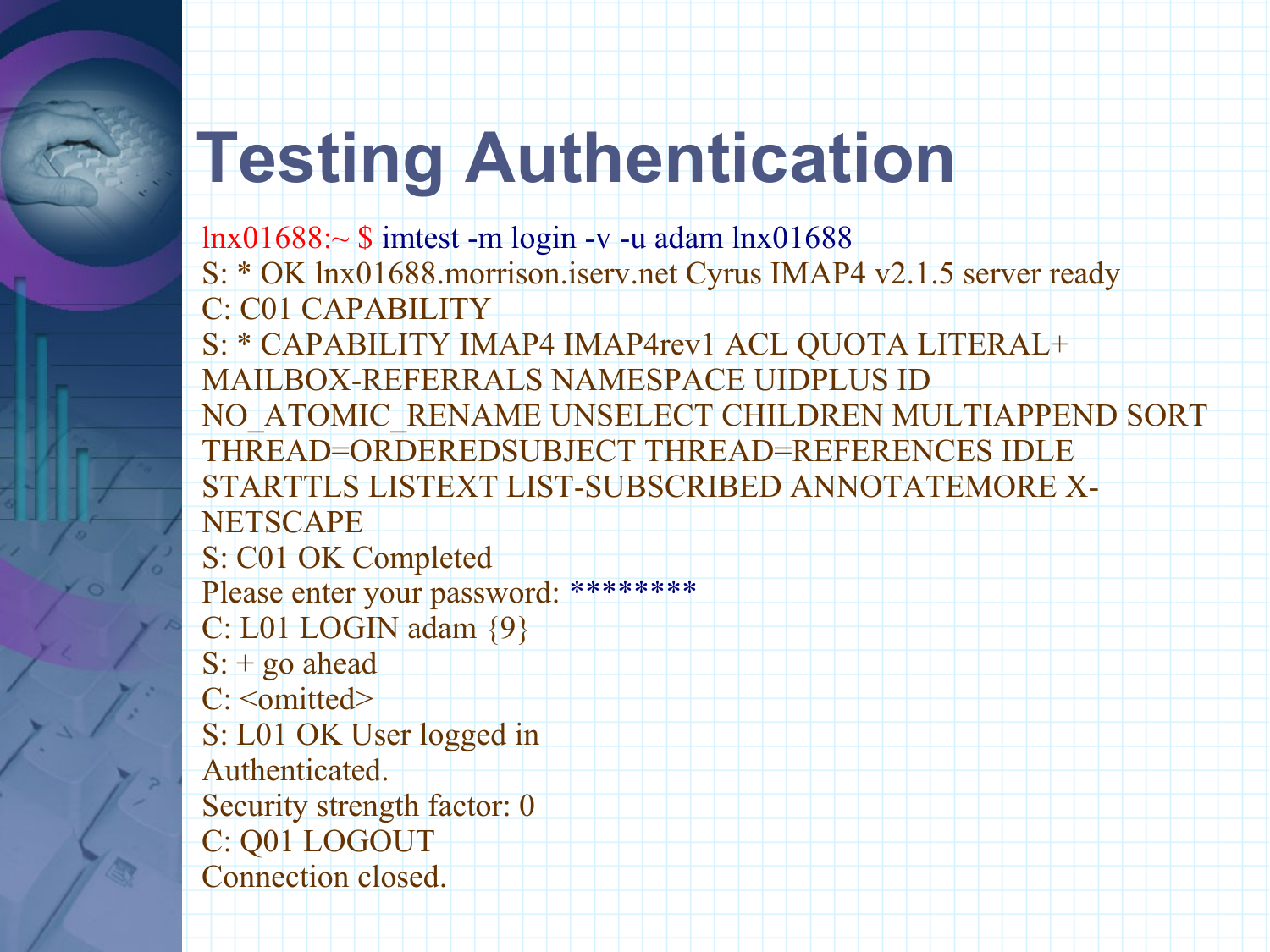## **Testing Authentication**

lnx01688:~ \$ imtest -m login -v -u adam lnx01688 S: \* OK lnx01688.morrison.iserv.net Cyrus IMAP4 v2.1.5 server ready C: C01 CAPABILITY S: \* CAPABILITY IMAP4 IMAP4rev1 ACL QUOTA LITERAL+ MAILBOX-REFERRALS NAMESPACE UIDPLUS ID NO\_ATOMIC\_RENAME UNSELECT CHILDREN MULTIAPPEND SORT THREAD=ORDEREDSUBJECT THREAD=REFERENCES IDLE STARTTLS LISTEXT LIST-SUBSCRIBED ANNOTATEMORE X-**NETSCAPE** S: C01 OK Completed Please enter your password: \*\*\*\*\*\*\*\*\* C: L01 LOGIN adam {9}  $S:$  + go ahead C: < omitted> S: L01 OK User logged in Authenticated. Security strength factor: 0 C: Q01 LOGOUT Connection closed.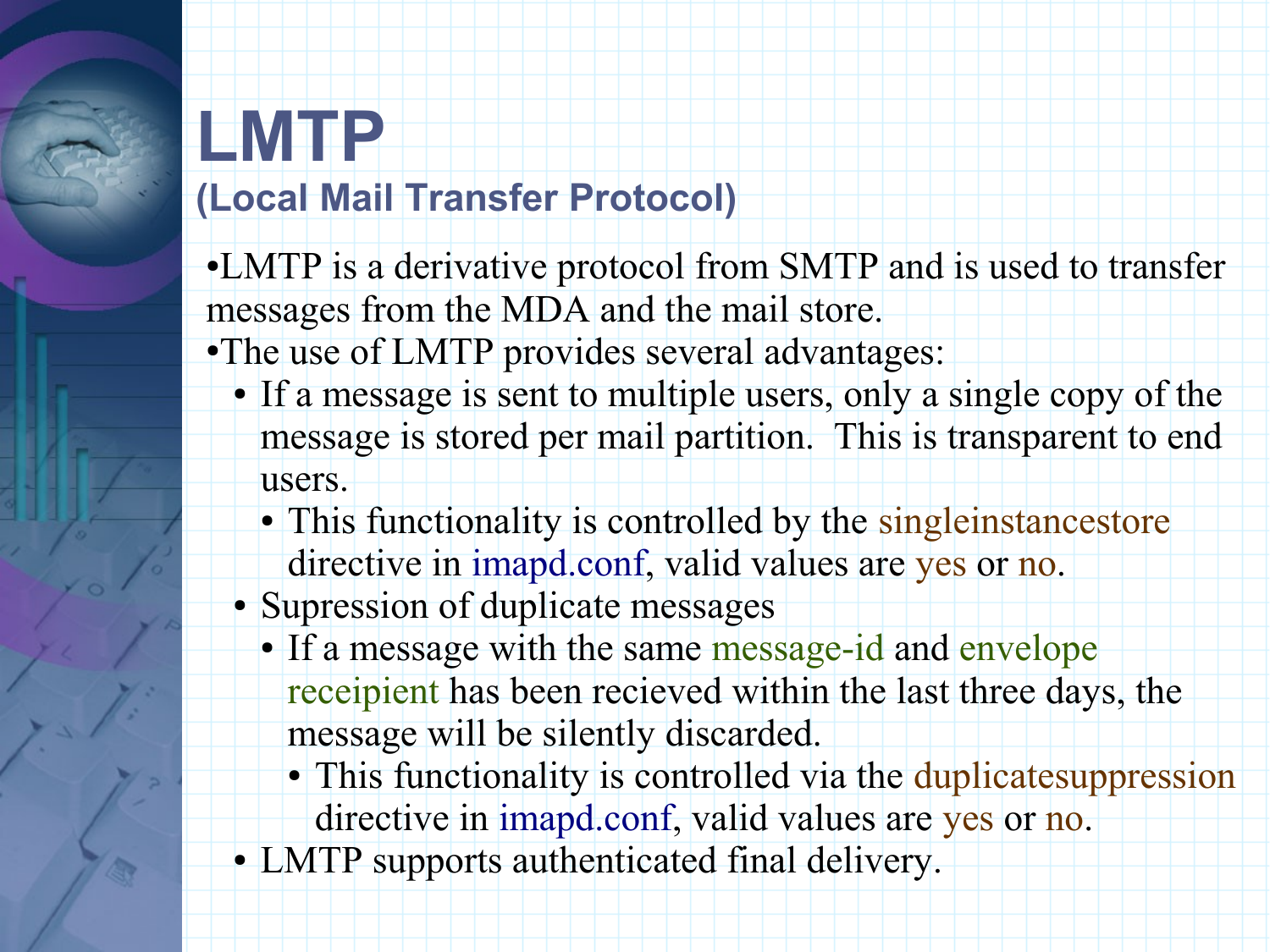#### **LMTP (Local Mail Transfer Protocol)**

●LMTP is a derivative protocol from SMTP and is used to transfer messages from the MDA and the mail store.

•The use of LMTP provides several advantages:

- If a message is sent to multiple users, only a single copy of the message is stored per mail partition. This is transparent to end users.
	- This functionality is controlled by the singleinstancestore directive in imapd.conf, valid values are yes or no.
- Supression of duplicate messages
	- If a message with the same message-id and envelope receipient has been recieved within the last three days, the message will be silently discarded.
		- This functionality is controlled via the duplicate suppression directive in imapd.conf, valid values are yes or no.
- LMTP supports authenticated final delivery.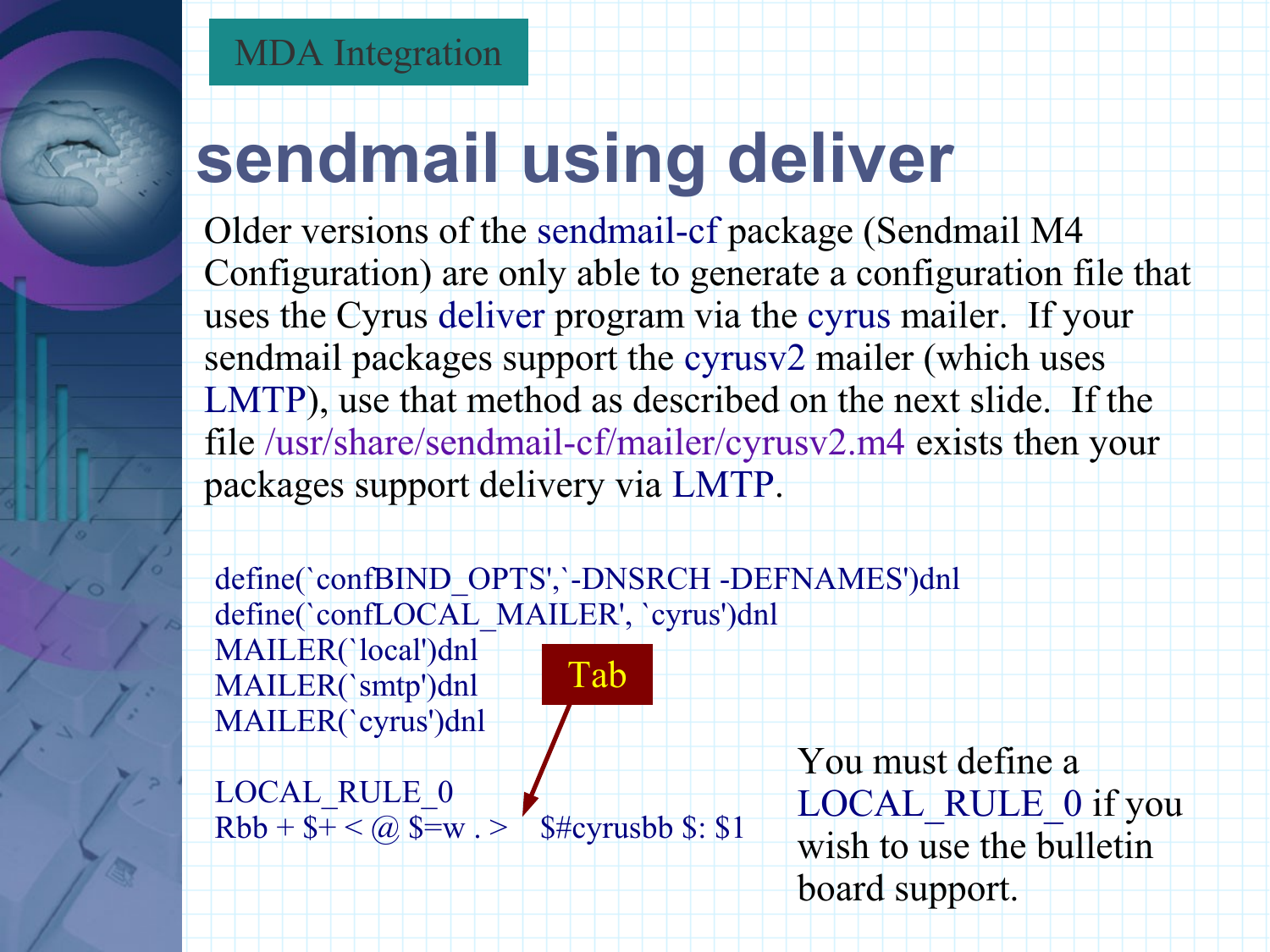## **sendmail using deliver**

Older versions of the sendmail-cf package (Sendmail M4 Configuration) are only able to generate a configuration file that uses the Cyrus deliver program via the cyrus mailer. If your sendmail packages support the cyrusv2 mailer (which uses LMTP), use that method as described on the next slide. If the file /usr/share/sendmail-cf/mailer/cyrusv2.m4 exists then your packages support delivery via LMTP.

define(`confBIND\_OPTS',`-DNSRCH -DEFNAMES')dnl define(`confLOCAL\_MAILER', `cyrus')dnl MAILER(`local')dnl MAILER(`smtp')dnl MAILER(`cyrus')dnl Tab

LOCAL\_RULE\_0  $Rbb + $+ < \omega $$  \$=w . > \$#cyrusbb \$: \$1

You must define a LOCAL RULE 0 if you wish to use the bulletin board support.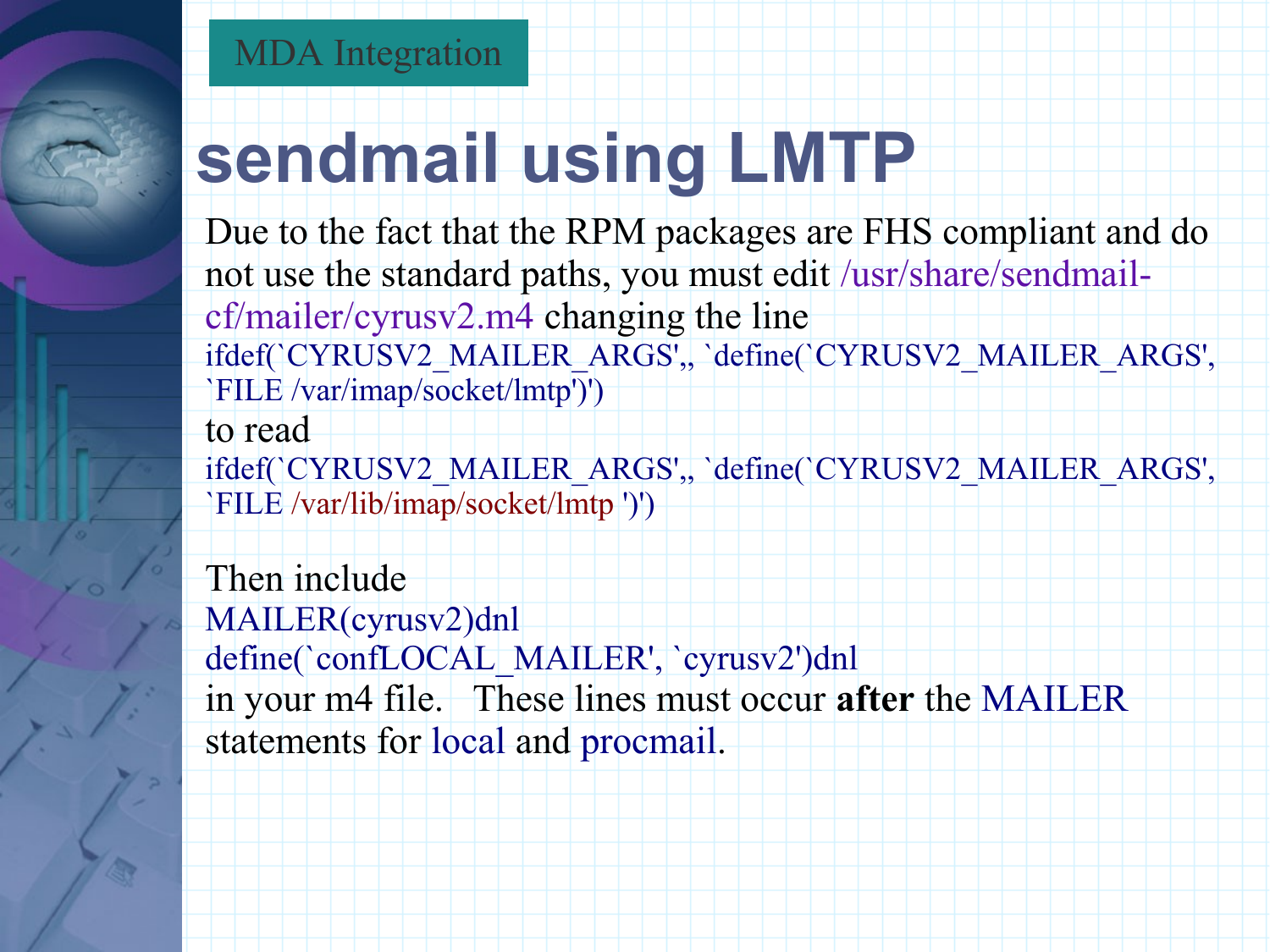## **sendmail using LMTP**

Due to the fact that the RPM packages are FHS compliant and do not use the standard paths, you must edit /usr/share/sendmailcf/mailer/cyrusv2.m4 changing the line ifdef(`CYRUSV2\_MAILER\_ARGS',, `define(`CYRUSV2\_MAILER\_ARGS', `FILE /var/imap/socket/lmtp')') to read

ifdef(`CYRUSV2\_MAILER\_ARGS',, `define(`CYRUSV2\_MAILER\_ARGS', `FILE /var/lib/imap/socket/lmtp ')')

Then include MAILER(cyrusv2)dnl define(`confLOCAL\_MAILER', `cyrusv2')dnl in your m4 file. These lines must occur **after** the MAILER statements for local and procmail.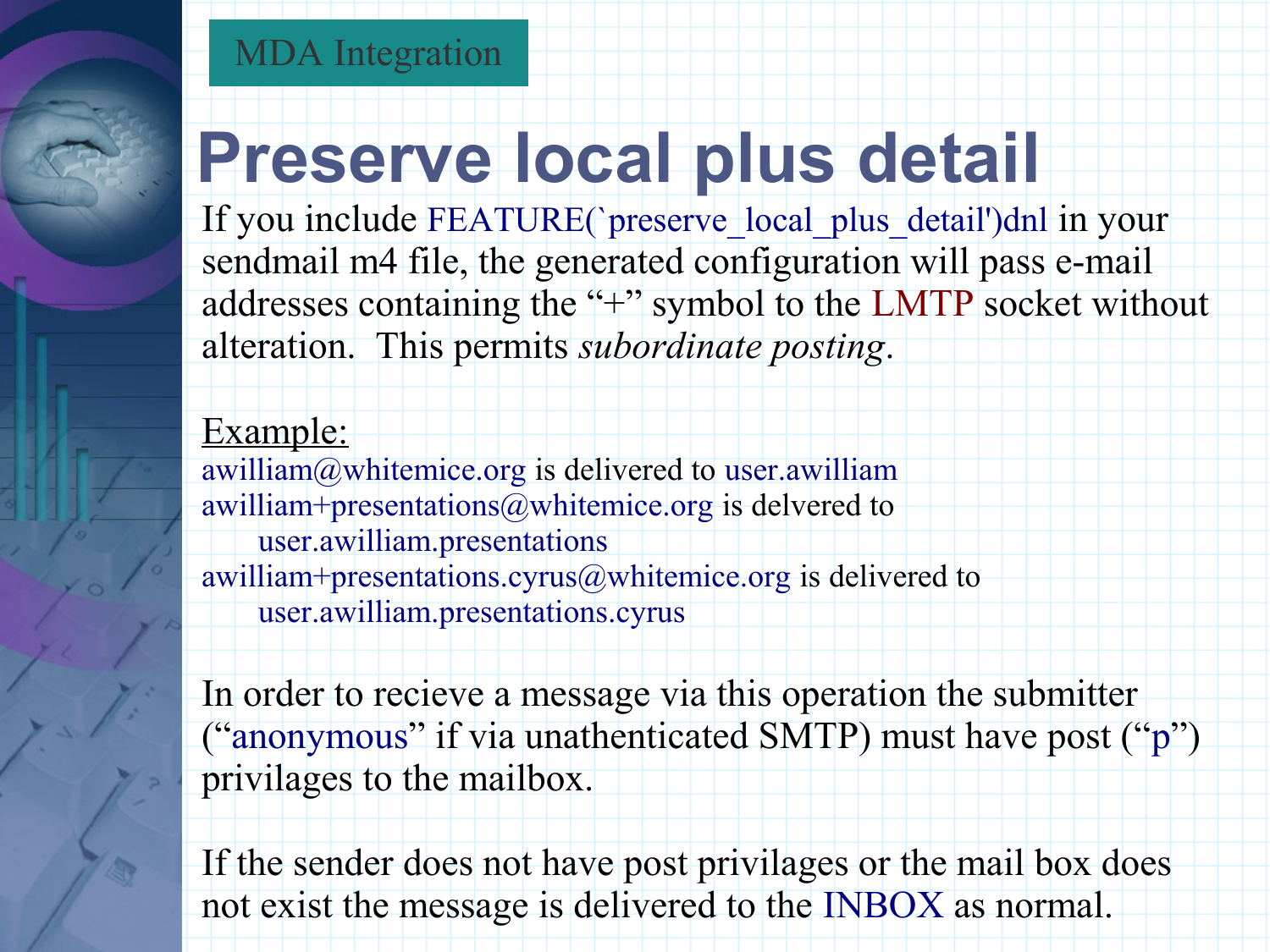### **Preserve local plus detail**

If you include FEATURE(`preserve\_local\_plus\_detail')dnl in your sendmail m4 file, the generated configuration will pass e-mail addresses containing the "+" symbol to the LMTP socket without alteration. This permits *subordinate posting*.

#### Example:

awilliam@whitemice.org is delivered to user.awilliam awilliam+presentations@whitemice.org is delvered to user.awilliam.presentations awilliam+presentations.cyrus@whitemice.org is delivered to user.awilliam.presentations.cyrus

In order to recieve a message via this operation the submitter ("anonymous" if via unathenticated SMTP) must have post ("p") privilages to the mailbox.

If the sender does not have post privilages or the mail box does not exist the message is delivered to the INBOX as normal.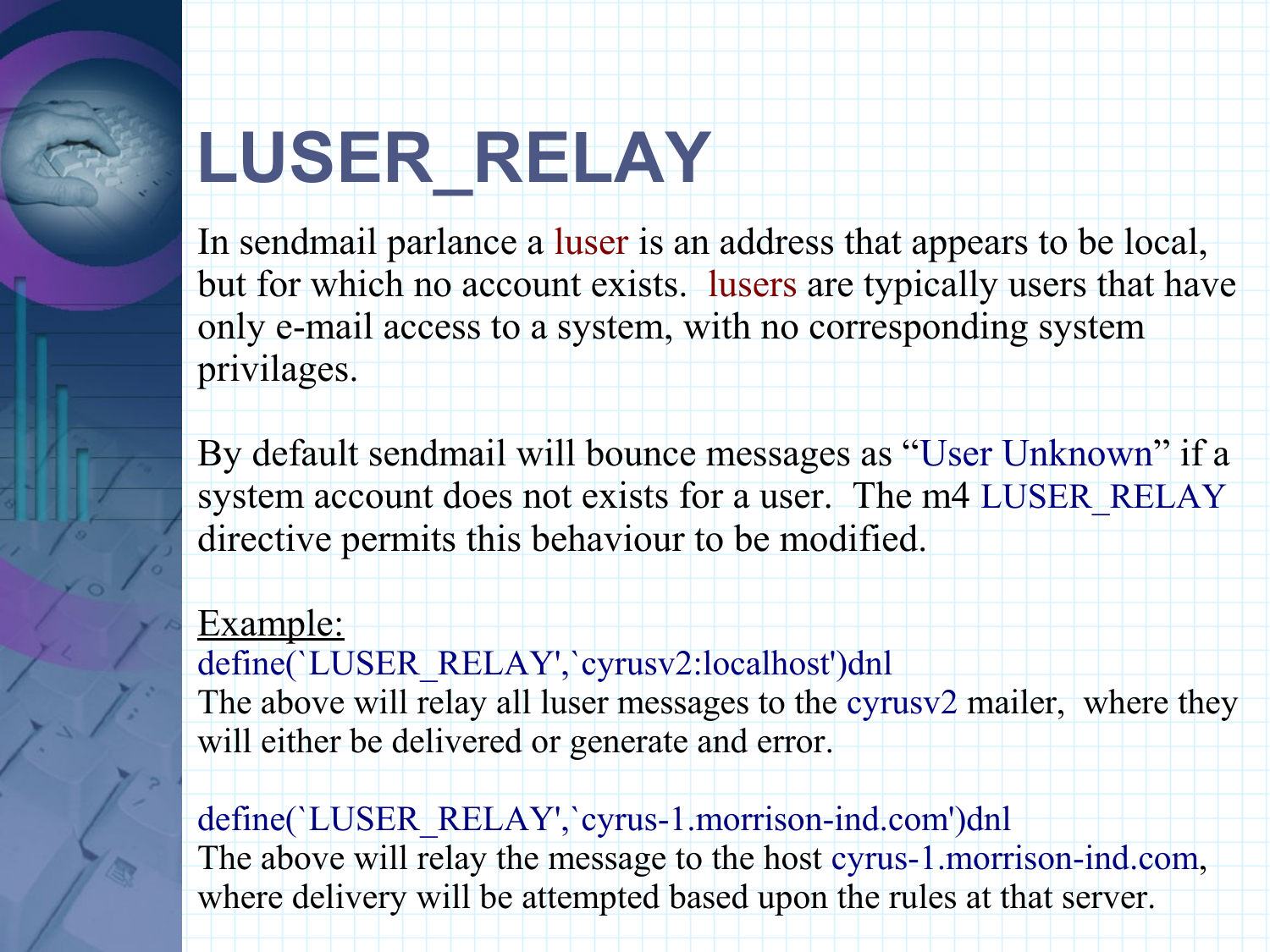## **LUSER\_RELAY**

In sendmail parlance a luser is an address that appears to be local, but for which no account exists. lusers are typically users that have only e-mail access to a system, with no corresponding system privilages.

By default sendmail will bounce messages as "User Unknown" if a system account does not exists for a user. The m4 LUSER\_RELAY directive permits this behaviour to be modified.

#### Example:

define(`LUSER\_RELAY',`cyrusv2:localhost')dnl The above will relay all luser messages to the cyrusv2 mailer, where they will either be delivered or generate and error.

define(`LUSER\_RELAY',`cyrus-1.morrison-ind.com')dnl The above will relay the message to the host cyrus-1.morrison-ind.com, where delivery will be attempted based upon the rules at that server.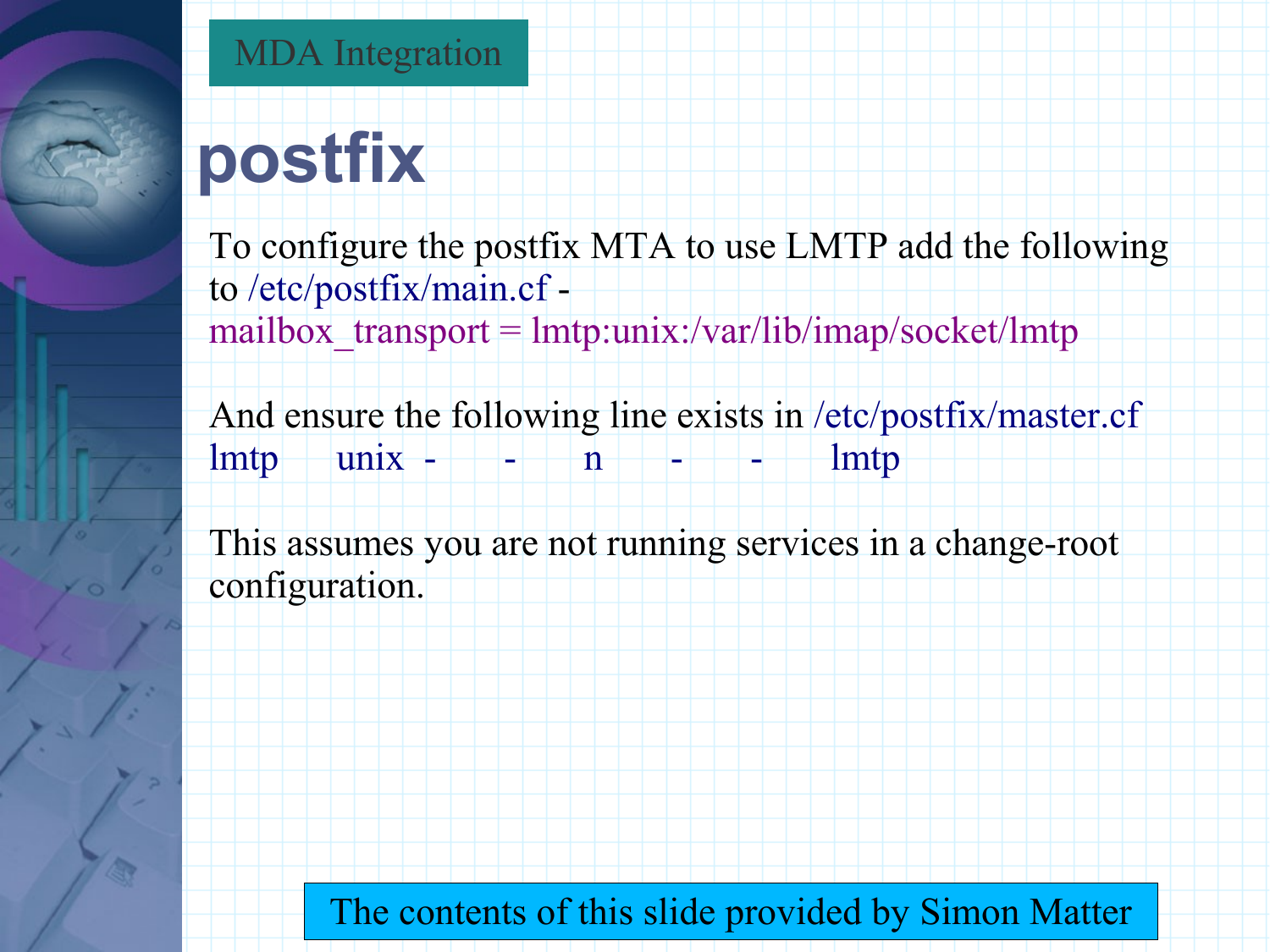

#### MDA Integration

## **postfix**

To configure the postfix MTA to use LMTP add the following to /etc/postfix/main.cf mailbox  $transport = lmtp:unix:/var/lib/imap/socket/lmtp)$ 

And ensure the following line exists in /etc/postfix/master.cf  $lmtp$  unix - - n n - - 1 mtp

This assumes you are not running services in a change-root configuration.

The contents of this slide provided by Simon Matter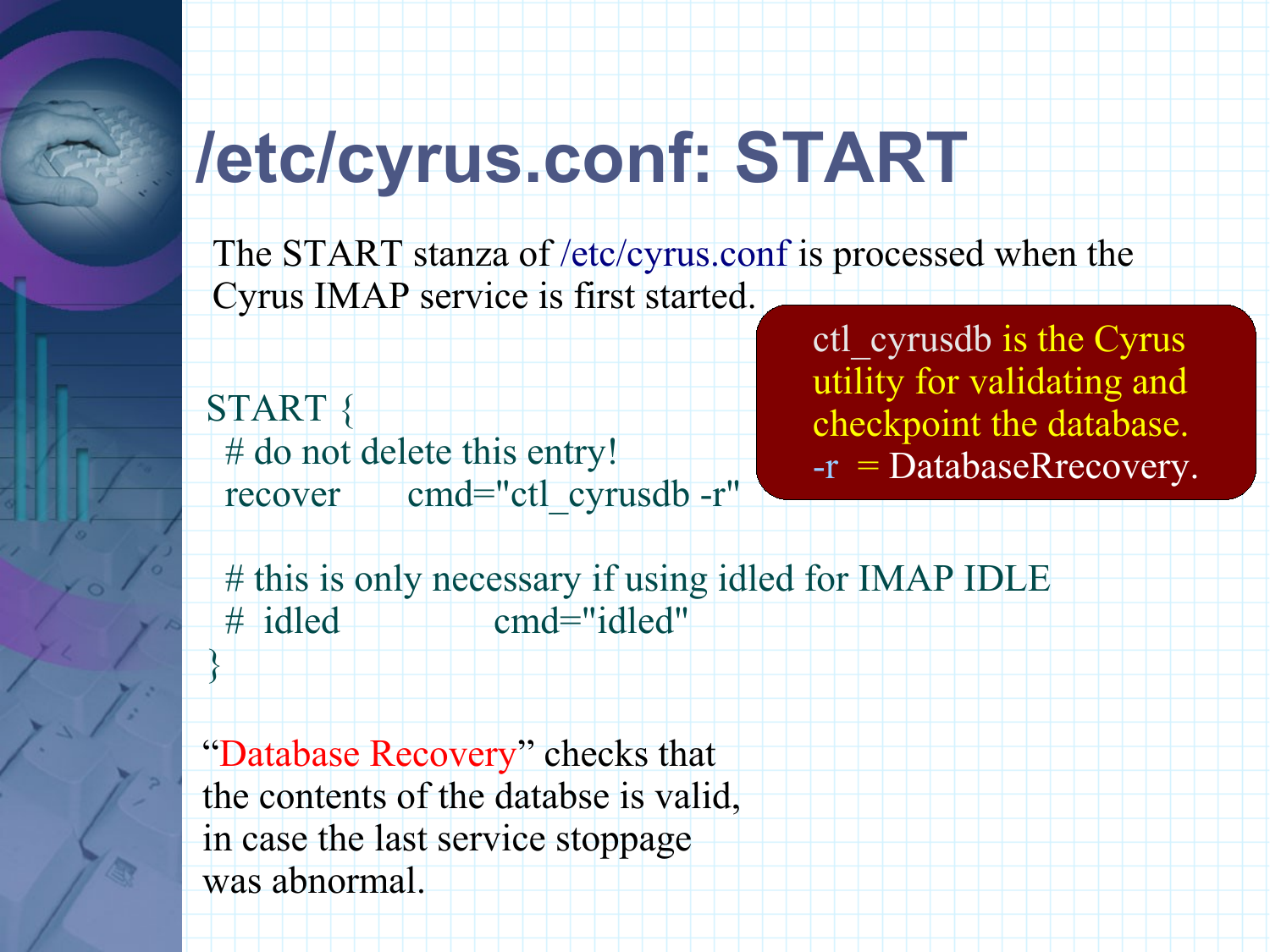## **/etc/cyrus.conf: START**

The START stanza of /etc/cyrus.conf is processed when the Cyrus IMAP service is first started.

START { # do not delete this entry! recover cmd="ctl cyrusdb -r" ctl\_cyrusdb is the Cyrus utility for validating and checkpoint the database. -r = DatabaseRrecovery.

# this is only necessary if using idled for IMAP IDLE # idled cmd="idled" }

"Database Recovery" checks that the contents of the databse is valid, in case the last service stoppage was abnormal.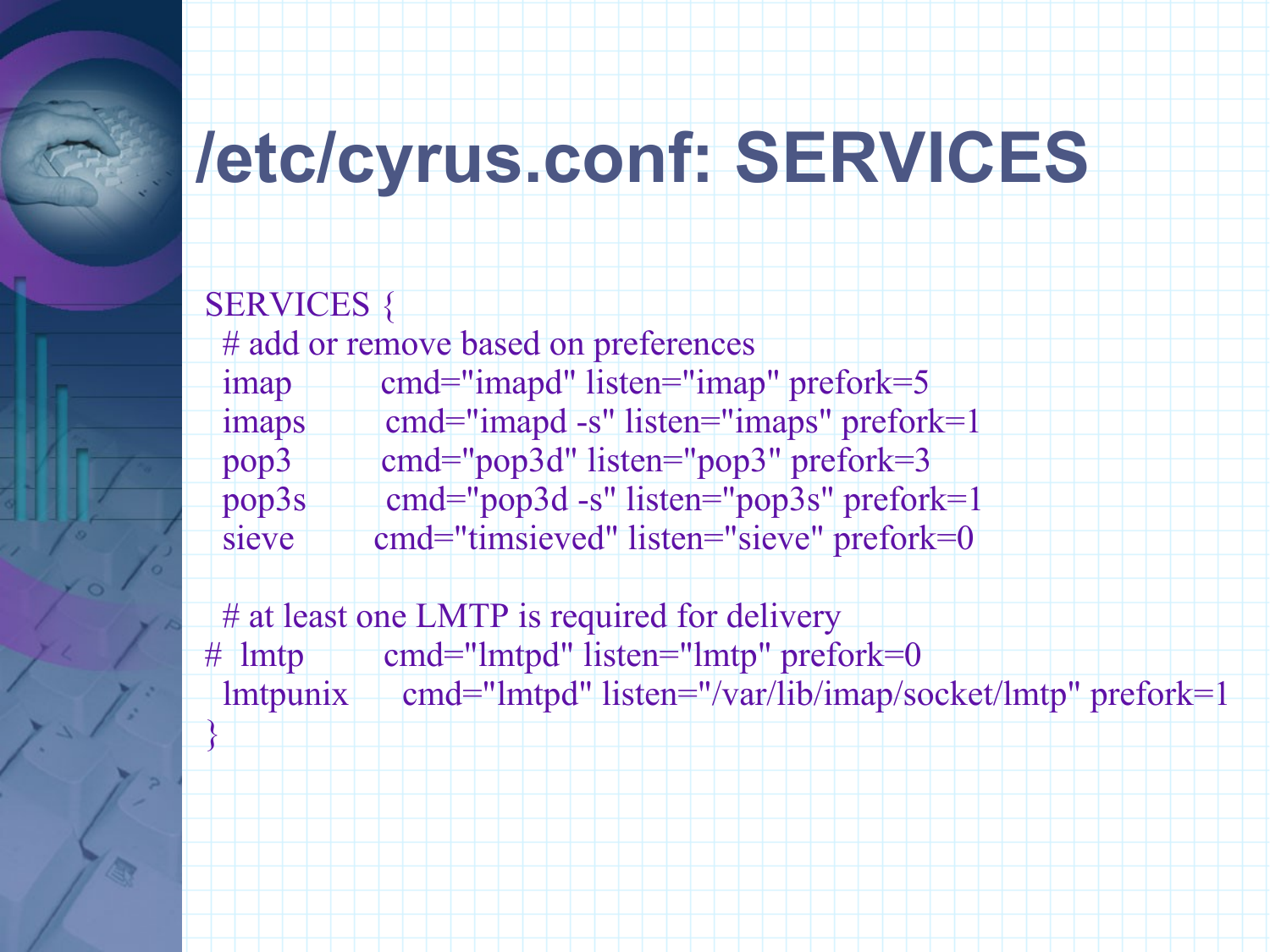## **/etc/cyrus.conf: SERVICES**

SERVICES { # add or remove based on preferences imap cmd="imapd" listen="imap" prefork=5 imaps cmd="imapd -s" listen="imaps" prefork=1 pop3 cmd="pop3d" listen="pop3" prefork=3 pop3s cmd="pop3d -s" listen="pop3s" prefork=1 sieve cmd="timsieved" listen="sieve" prefork=0

# at least one LMTP is required for delivery # lmtp cmd="lmtpd" listen="lmtp" prefork=0 lmtpunix cmd="lmtpd" listen="/var/lib/imap/socket/lmtp" prefork=1 }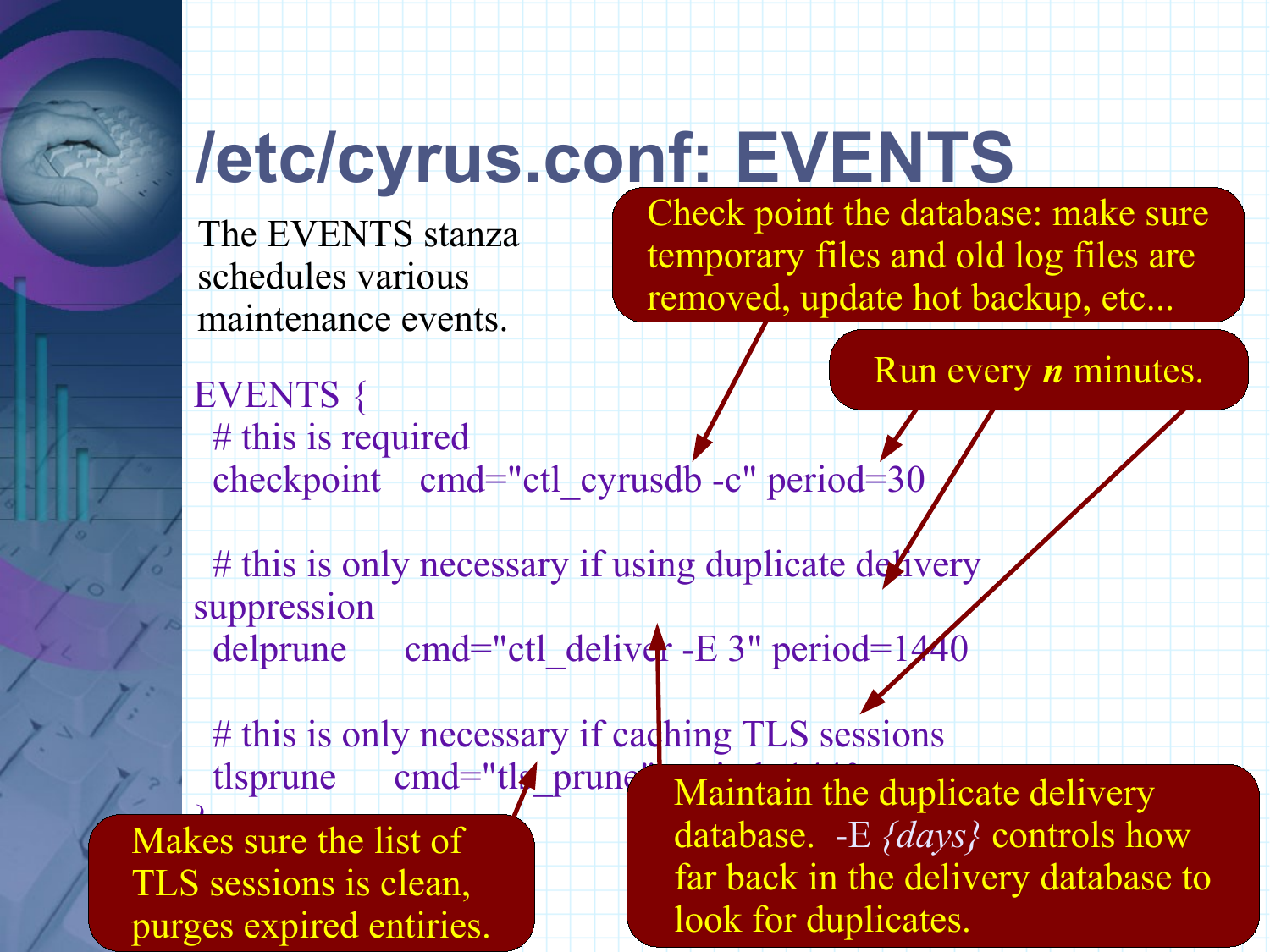## **/etc/cyrus.conf: EVENTS**

The EVENTS stanza schedules various maintenance events.

Check point the database: make sure temporary files and old log files are removed, update hot backup, etc...

Run every *n* minutes.

EVENTS { # this is required checkpoint cmd="ctl cyrusdb -c" period=30

# this is only necessary if using duplicate delivery suppression

delprune cmd="ctl deliver -E 3" period=1440

# this is only necessary if caching TLS sessions tlsprune cmd="tle prune

}<br>} Makes sure the list of TLS sessions is clean, purges expired entiries. Maintain the duplicate delivery database. -E *{days}* controls how far back in the delivery database to look for duplicates.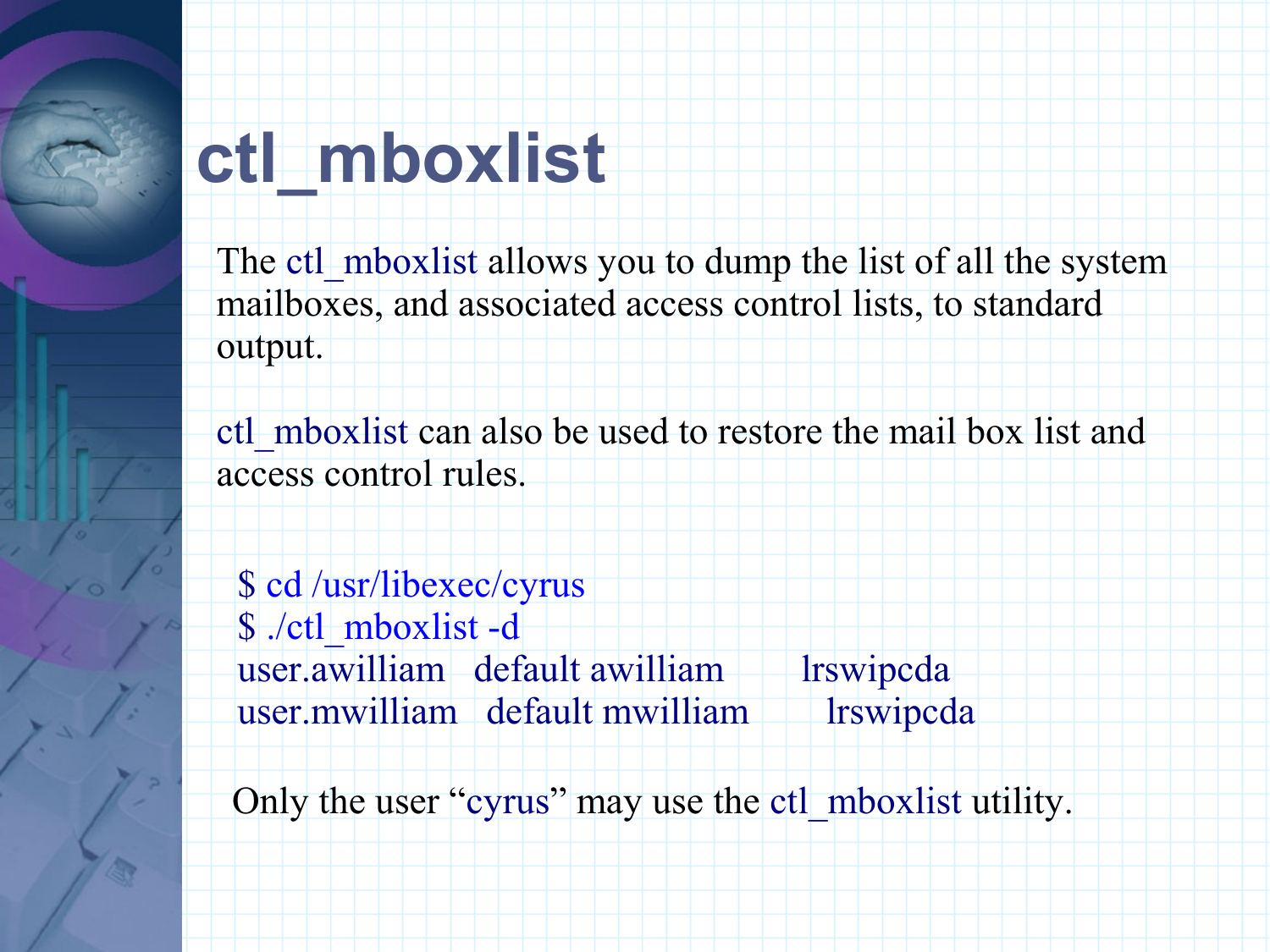### **ctl\_mboxlist**

The ctl mboxlist allows you to dump the list of all the system mailboxes, and associated access control lists, to standard output.

ctl\_mboxlist can also be used to restore the mail box list and access control rules.

\$ cd /usr/libexec/cyrus \$ ./ctl\_mboxlist -d user.awilliam default awilliam lrswipcda user.mwilliam default mwilliam lrswipcda

Only the user "cyrus" may use the ctl\_mboxlist utility.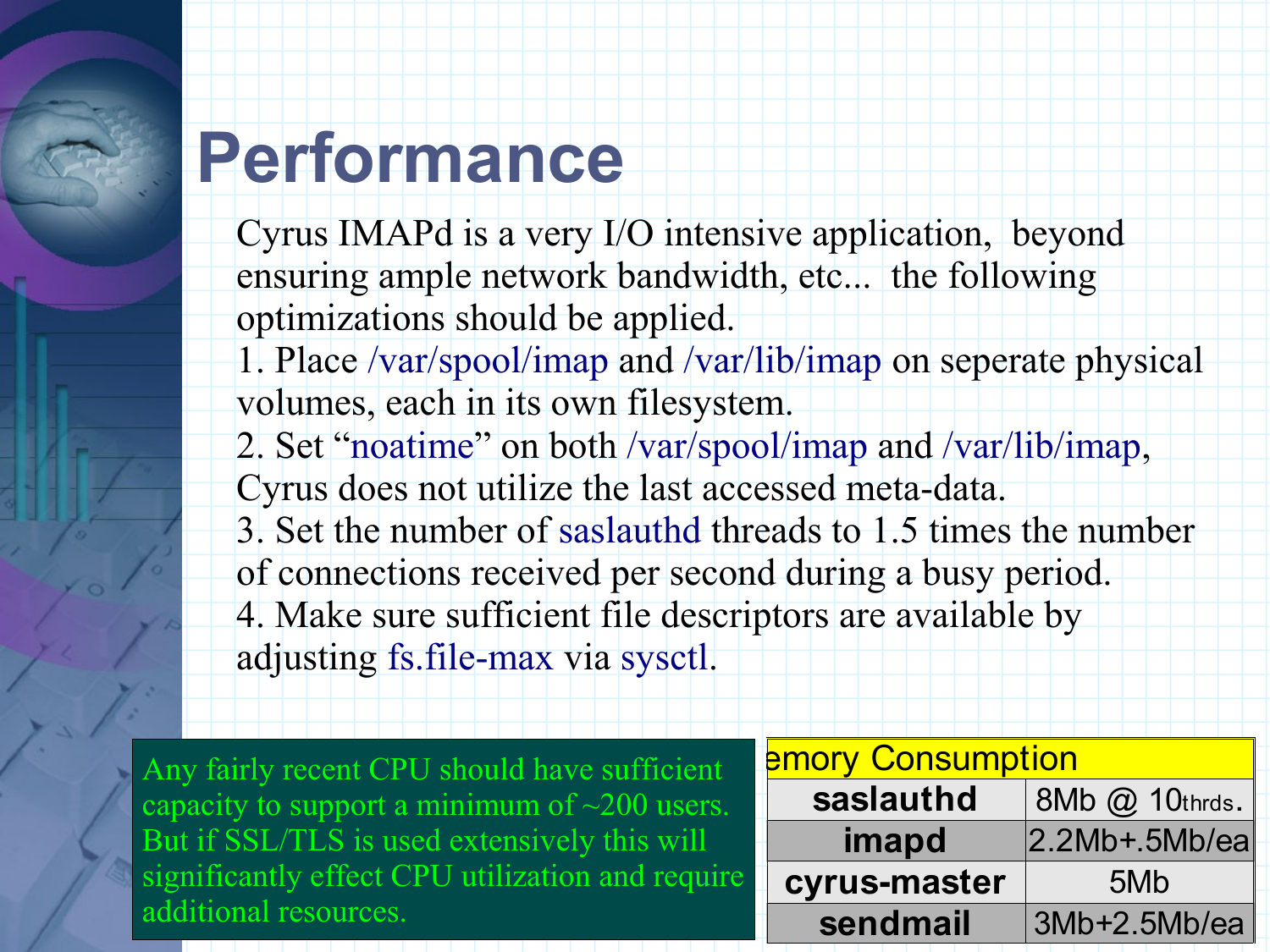### **Performance**

Cyrus IMAPd is a very I/O intensive application, beyond ensuring ample network bandwidth, etc... the following optimizations should be applied.

1. Place /var/spool/imap and /var/lib/imap on seperate physical volumes, each in its own filesystem.

2. Set "noatime" on both /var/spool/imap and /var/lib/imap,

Cyrus does not utilize the last accessed meta-data.

3. Set the number of saslauthd threads to 1.5 times the number

of connections received per second during a busy period.

4. Make sure sufficient file descriptors are available by

adjusting fs.file-max via sysctl.

Any fairly recent CPU should have sufficient capacity to support a minimum of  $\sim$ 200 users. But if SSL/TLS is used extensively this will significantly effect CPU utilization and require additional resources.

| $\mathbf t$               | <b>Emory Consumption</b> |                |  |  |
|---------------------------|--------------------------|----------------|--|--|
| $\overline{\mathbf{S}}$ . | saslauthd                | 8Mb @ 10thrds. |  |  |
|                           | imapd                    | $2.2Mb+5Mb/ea$ |  |  |
| ire                       | cyrus-master             | 5Mb            |  |  |
|                           | sendmail                 | 3Mb+2.5Mb/ea   |  |  |
|                           |                          |                |  |  |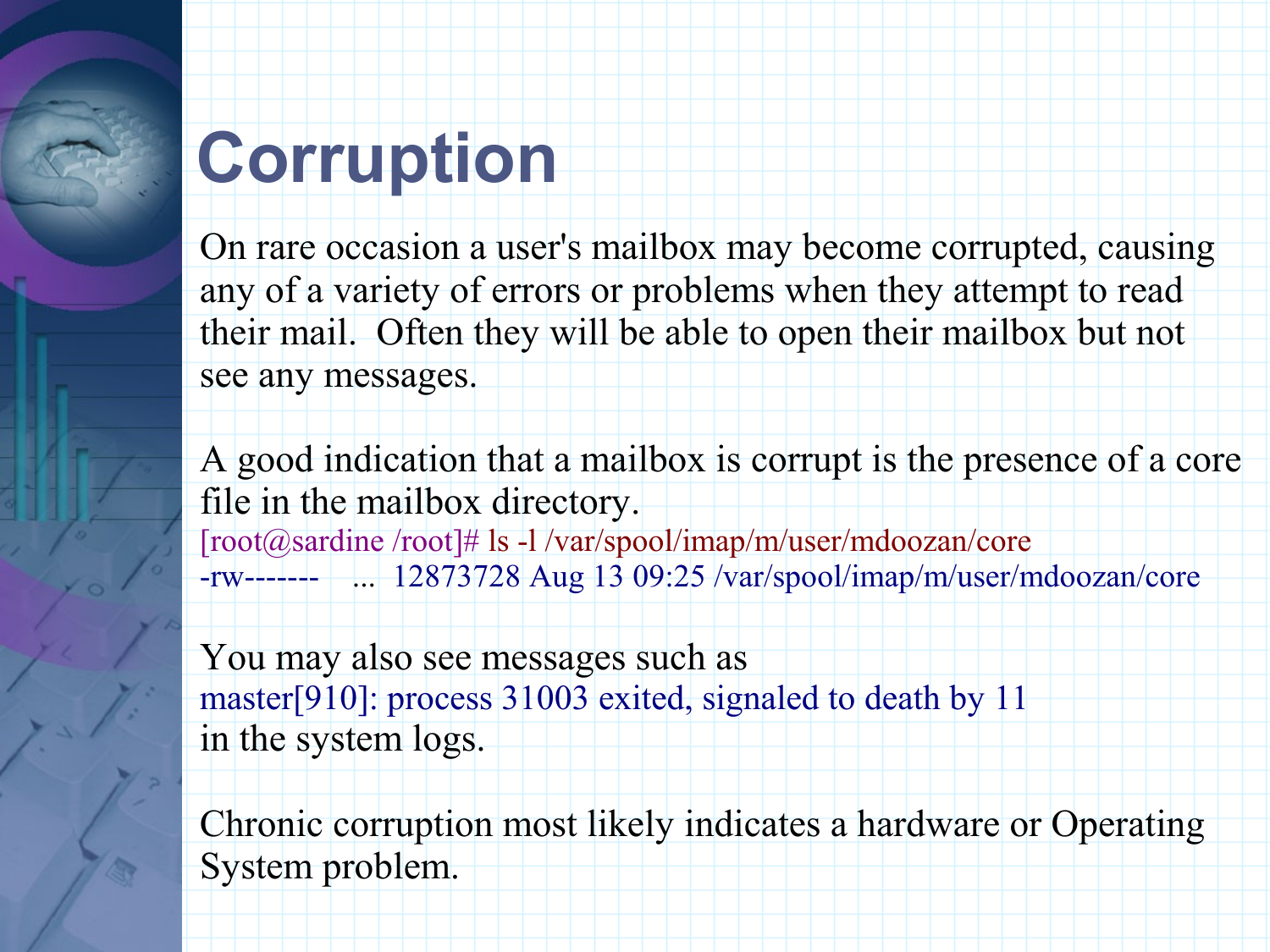#### **Corruption**

On rare occasion a user's mailbox may become corrupted, causing any of a variety of errors or problems when they attempt to read their mail. Often they will be able to open their mailbox but not see any messages.

A good indication that a mailbox is corrupt is the presence of a core file in the mailbox directory. [root@sardine /root]# ls -l /var/spool/imap/m/user/mdoozan/core -rw------- ... 12873728 Aug 13 09:25 /var/spool/imap/m/user/mdoozan/core

You may also see messages such as master[910]: process 31003 exited, signaled to death by 11 in the system logs.

Chronic corruption most likely indicates a hardware or Operating System problem.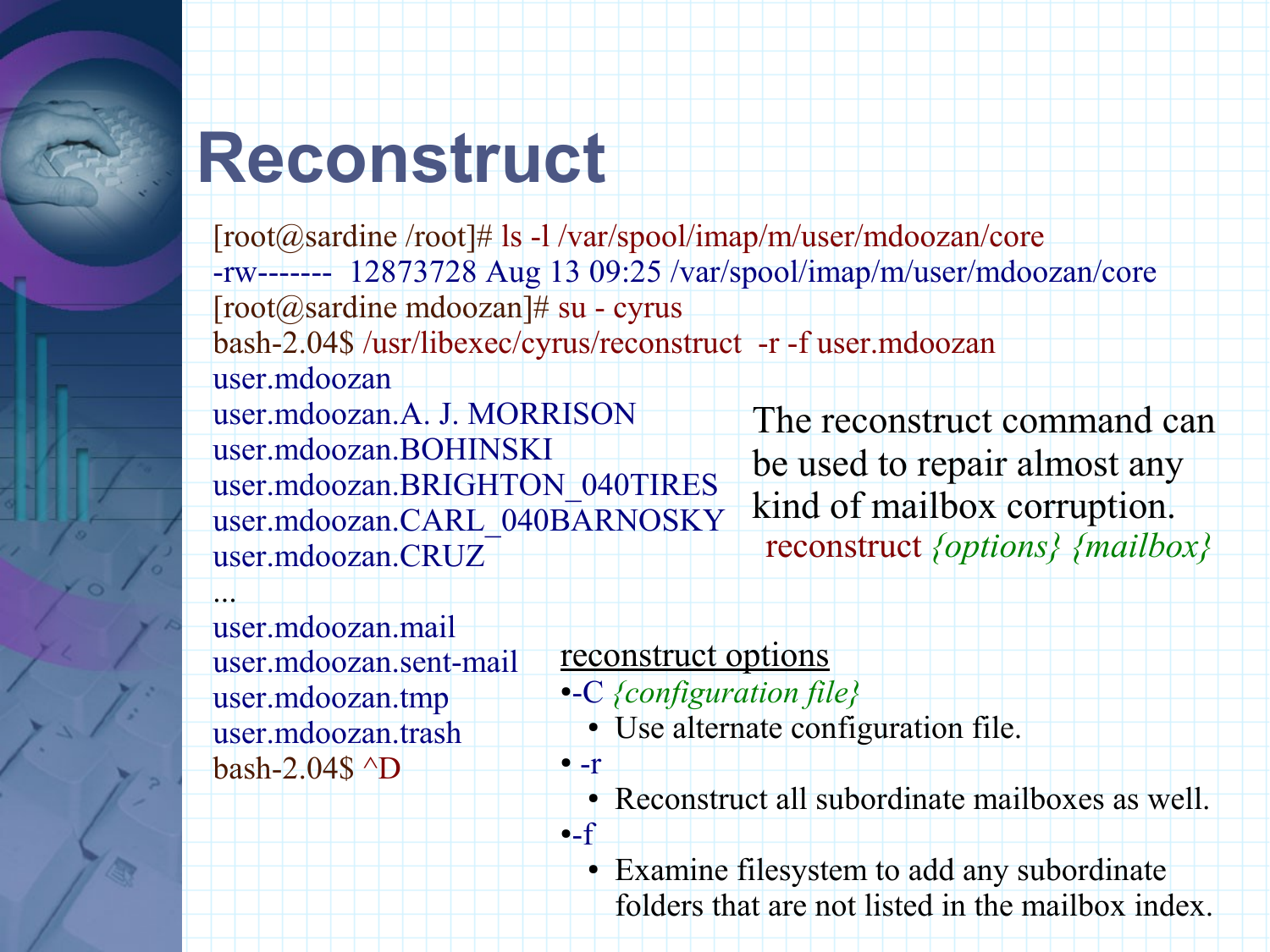### **Reconstruct**

[root@sardine /root]# ls -l /var/spool/imap/m/user/mdoozan/core -rw------- 12873728 Aug 13 09:25 /var/spool/imap/m/user/mdoozan/core  $[root@sardinemdoozan]$ # su - cyrus bash-2.04\$ /usr/libexec/cyrus/reconstruct -r -f user.mdoozan user.mdoozan user.mdoozan.A. J. MORRISON user.mdoozan.BOHINSKI user.mdoozan.BRIGHTON\_040TIRES user.mdoozan.CARL\_040BARNOSKY user.mdoozan.CRUZ ... The reconstruct command can be used to repair almost any kind of mailbox corruption. reconstruct *{options} {mailbox}*

user.mdoozan.mail user.mdoozan.sent-mail user.mdoozan.tmp user.mdoozan.trash bash-2.04\$ ^D

#### reconstruct options

 $\bullet$   $-r$ 

 $-$ f

- ●-C *{configuration file}* 
	- Use alternate configuration file.
	- Reconstruct all subordinate mailboxes as well.
	- Examine filesystem to add any subordinate folders that are not listed in the mailbox index.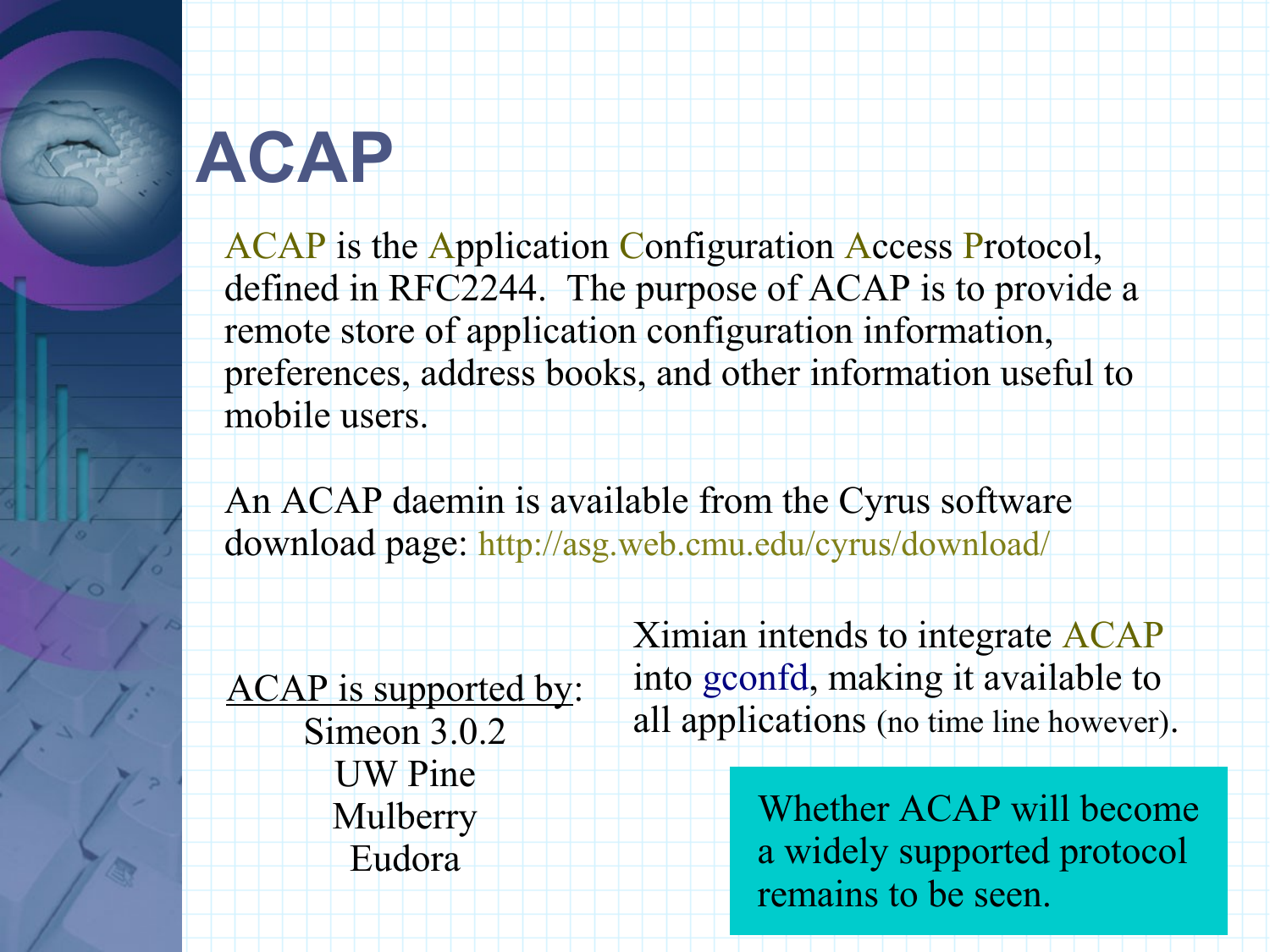#### **ACAP**

ACAP is the Application Configuration Access Protocol, defined in RFC2244. The purpose of ACAP is to provide a remote store of application configuration information, preferences, address books, and other information useful to mobile users.

An ACAP daemin is available from the Cyrus software download page: http://asg.web.cmu.edu/cyrus/download/

ACAP is supported by: Simeon 3.0.2 UW Pine Mulberry Eudora

Ximian intends to integrate ACAP into gconfd, making it available to all applications (no time line however).

> Whether ACAP will become a widely supported protocol remains to be seen.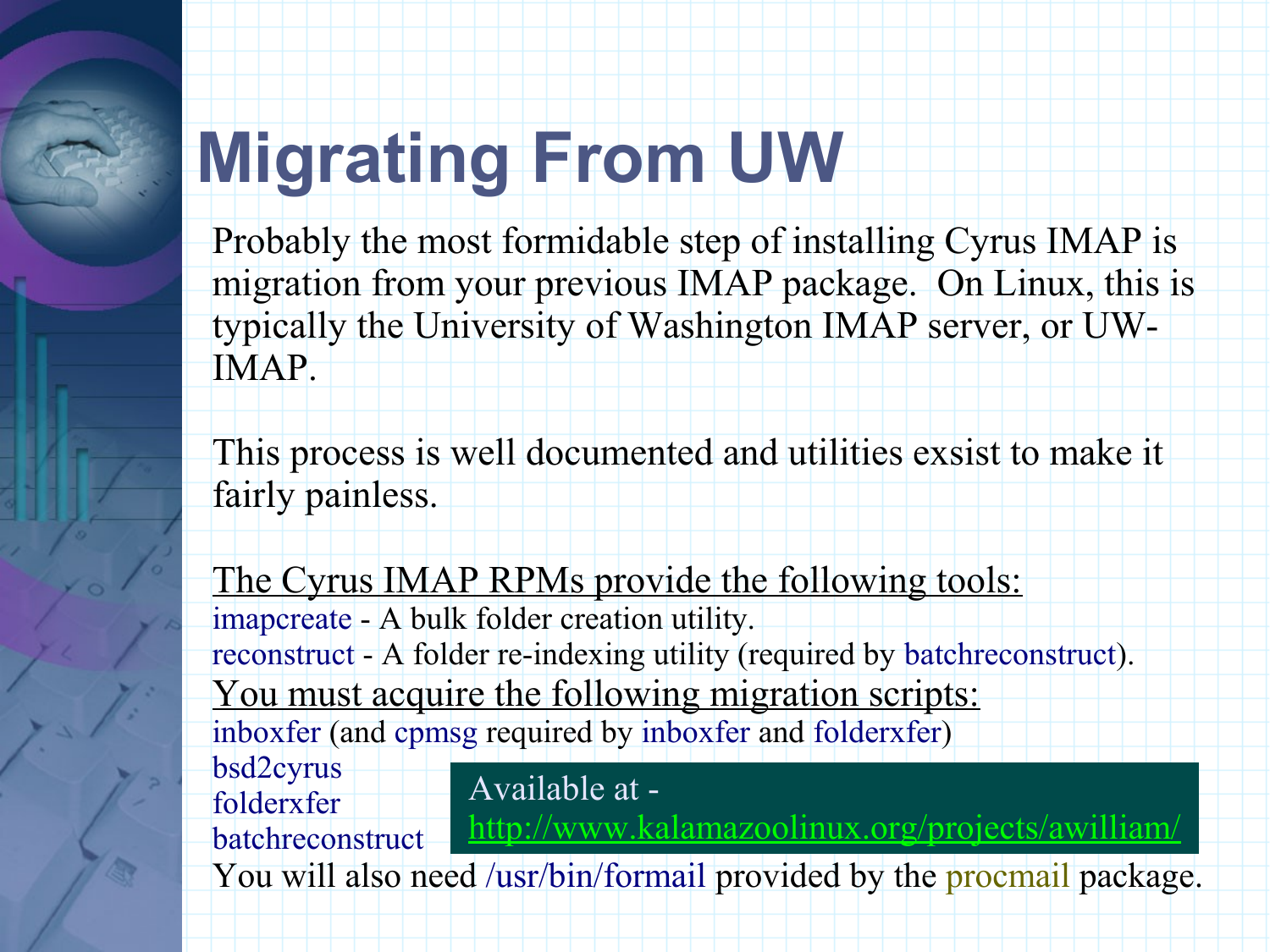## **Migrating From UW**

Probably the most formidable step of installing Cyrus IMAP is migration from your previous IMAP package. On Linux, this is typically the University of Washington IMAP server, or UW-IMAP.

This process is well documented and utilities exsist to make it fairly painless.

The Cyrus IMAP RPMs provide the following tools: imapcreate - A bulk folder creation utility. reconstruct - A folder re-indexing utility (required by batchreconstruct). You must acquire the following migration scripts: inboxfer (and cpmsg required by inboxfer and folderxfer) bsd2cyrus folderxfer batchreconstruct You will also need /usr/bin/formail provided by the procmail package. Available at http://www.kalamazoolinux.org/projects/awilliam/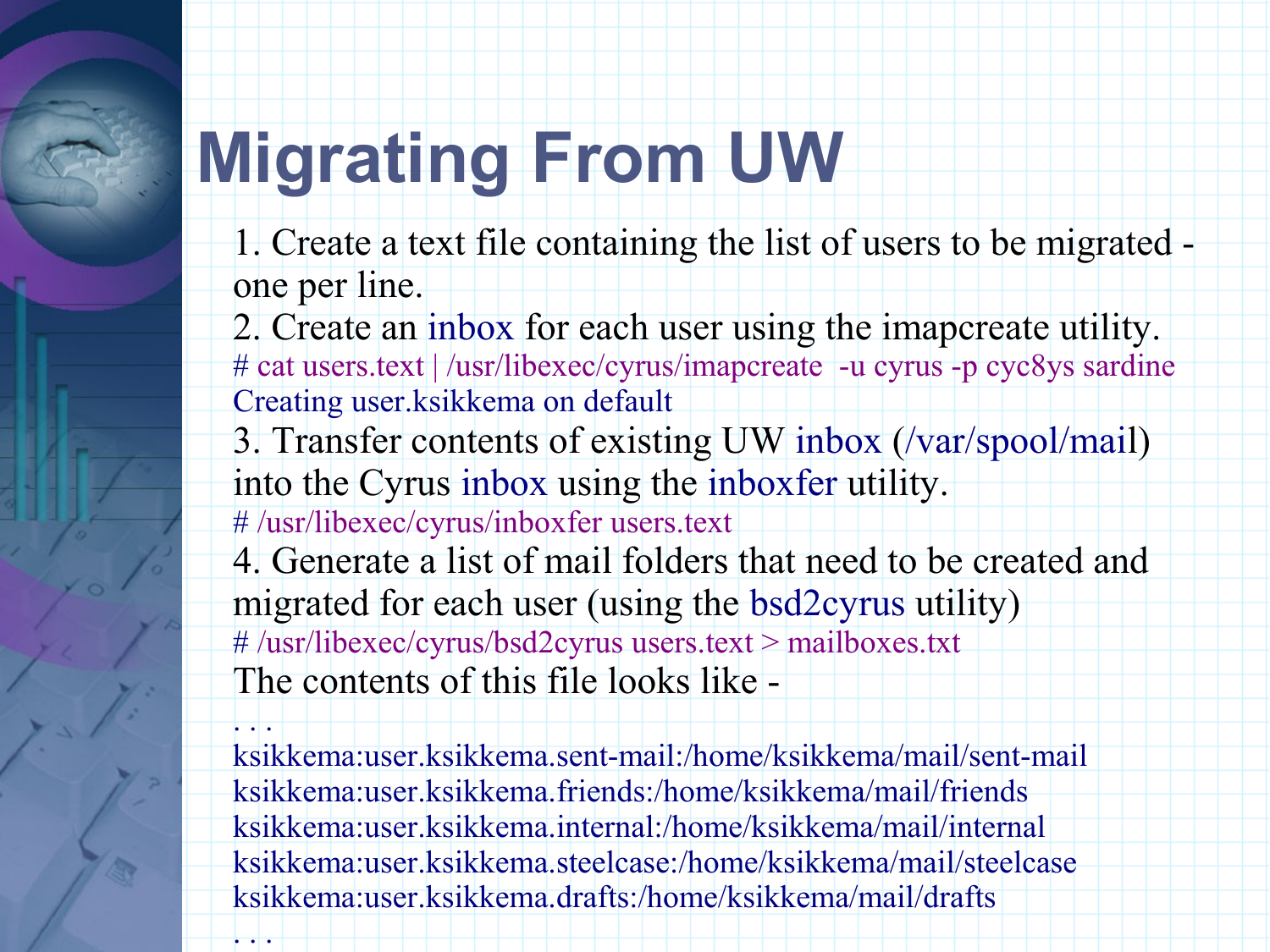#### **Migrating From UW**

- 1. Create a text file containing the list of users to be migrated one per line.
- 2. Create an inbox for each user using the imapcreate utility. # cat users.text | /usr/libexec/cyrus/imapcreate -u cyrus -p cyc8ys sardine Creating user.ksikkema on default
- 3. Transfer contents of existing UW inbox (/var/spool/mail) into the Cyrus inbox using the inboxfer utility.
- # /usr/libexec/cyrus/inboxfer users.text
- 4. Generate a list of mail folders that need to be created and migrated for each user (using the bsd2cyrus utility) # /usr/libexec/cyrus/bsd2cyrus users.text > mailboxes.txt The contents of this file looks like -

 $\left| \rule{0pt}{10pt} \right|$  . ksikkema:user.ksikkema.sent-mail:/home/ksikkema/mail/sent-mail ksikkema:user.ksikkema.friends:/home/ksikkema/mail/friends ksikkema:user.ksikkema.internal:/home/ksikkema/mail/internal ksikkema:user.ksikkema.steelcase:/home/ksikkema/mail/steelcase ksikkema:user.ksikkema.drafts:/home/ksikkema/mail/drafts  $\left| \rule{0.2cm}{0.4cm}\right|$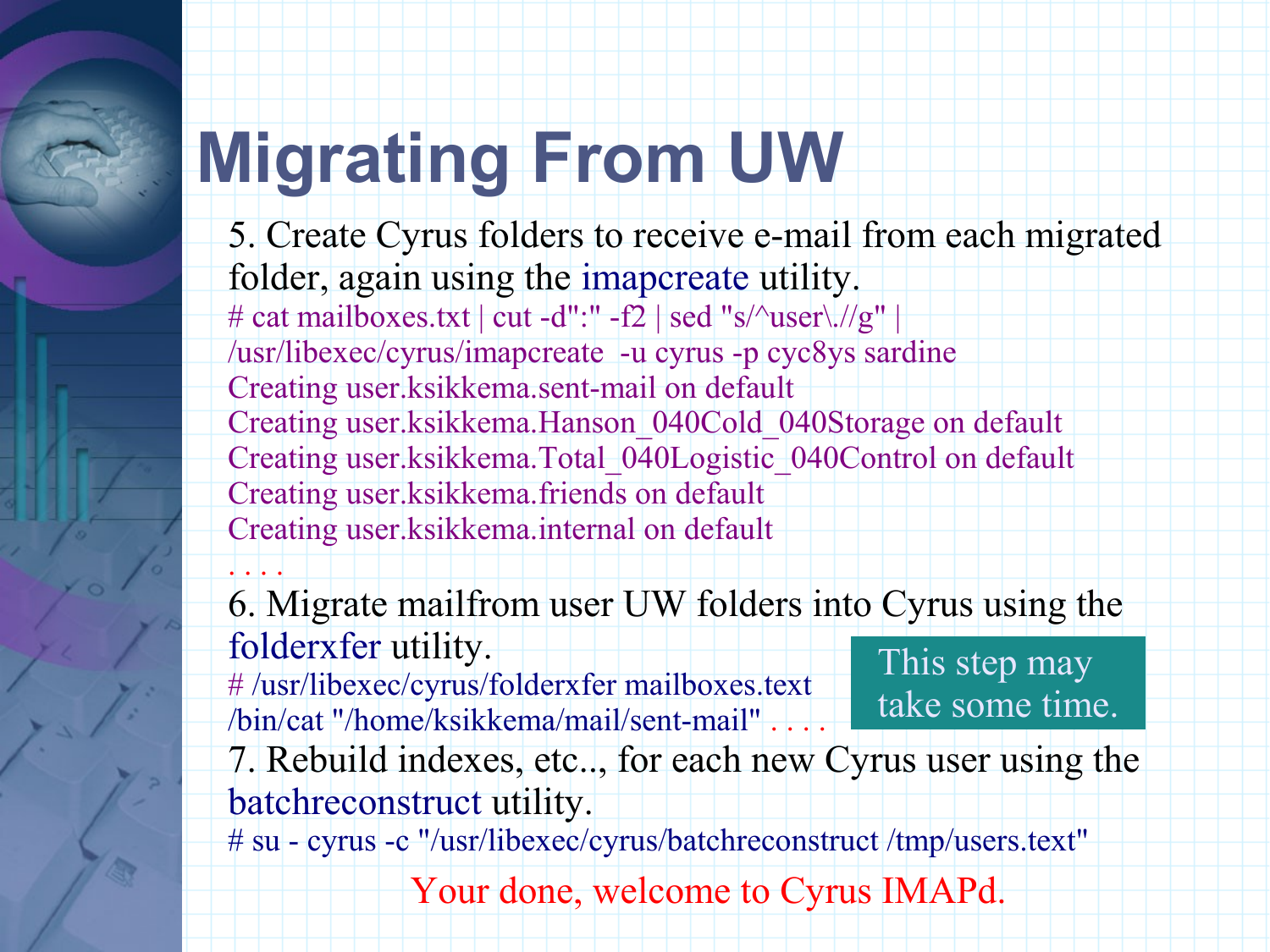### **Migrating From UW**

- 5. Create Cyrus folders to receive e-mail from each migrated folder, again using the imapcreate utility. # cat mailboxes.txt | cut -d":" -f2 | sed "s/^user\.//g" | /usr/libexec/cyrus/imapcreate -u cyrus -p cyc8ys sardine Creating user.ksikkema.sent-mail on default Creating user.ksikkema.Hanson\_040Cold\_040Storage on default Creating user.ksikkema.Total\_040Logistic\_040Control on default Creating user.ksikkema.friends on default Creating user.ksikkema.internal on default . . . .
- 6. Migrate mailfrom user UW folders into Cyrus using the folderxfer utility.
- # /usr/libexec/cyrus/folderxfer mailboxes.text /bin/cat "/home/ksikkema/mail/sent-mail"

This step may take some time.

7. Rebuild indexes, etc.., for each new Cyrus user using the batchreconstruct utility.

# su - cyrus -c "/usr/libexec/cyrus/batchreconstruct /tmp/users.text"

Your done, welcome to Cyrus IMAPd.